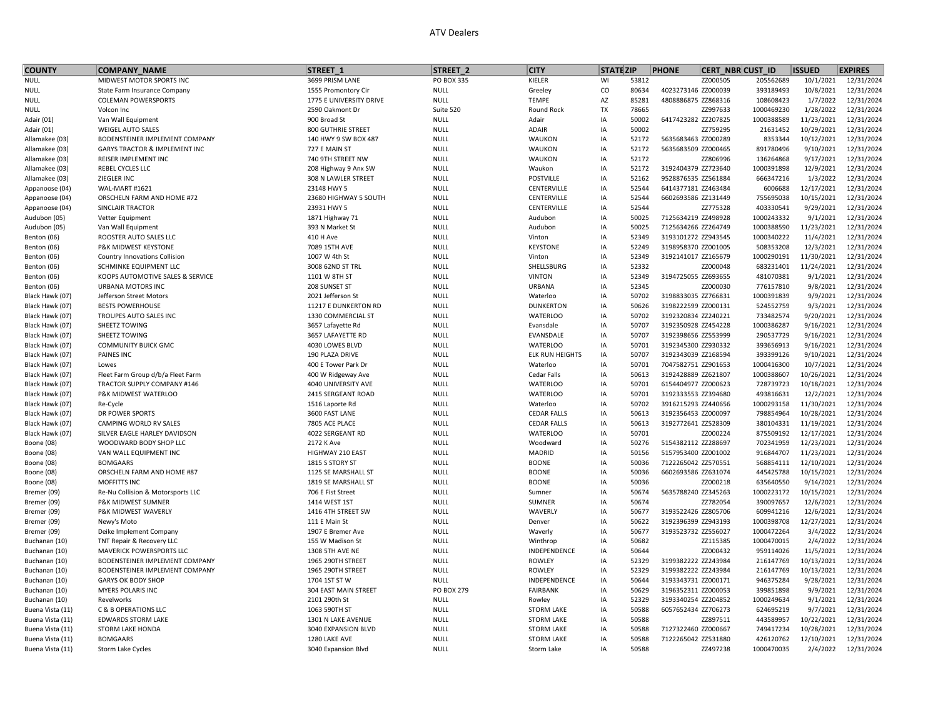## ATV Dealers

| <b>COUNTY</b>             | <b>COMPANY NAME</b>                        | STREET <sub>1</sub>                        | STREET <sub>2</sub>        | <b>CITY</b>                  | <b>STATE ZIP</b> |                | <b>PHONE</b>                    | <b>CERT NBR CUST ID</b> | <b>ISSUED</b>           | <b>EXPIRES</b>           |
|---------------------------|--------------------------------------------|--------------------------------------------|----------------------------|------------------------------|------------------|----------------|---------------------------------|-------------------------|-------------------------|--------------------------|
| <b>NULL</b>               | MIDWEST MOTOR SPORTS INC                   | 3699 PRISM LANE                            | PO BOX 335                 | KIELER                       | WI               | 53812          | ZZ000505                        | 205562689               | 10/1/2021               | 12/31/2024               |
| <b>NULL</b>               | State Farm Insurance Company               | 1555 Promontory Cir                        | <b>NULL</b>                | Greeley                      | $\rm CO$         | 80634          | 4023273146 ZZ000039             | 393189493               | 10/8/2021               | 12/31/2024               |
| NULL                      | <b>COLEMAN POWERSPORTS</b>                 | 1775 E UNIVERSITY DRIVE                    | <b>NULL</b>                | <b>TEMPE</b>                 | AZ               | 85281          | 4808886875 ZZ868316             | 108608423               | 1/7/2022                | 12/31/2024               |
| <b>NULL</b>               | Volcon Inc                                 | 2590 Oakmont Dr                            | Suite 520                  | Round Rock                   | TX               | 78665          | ZZ997633                        | 1000469230              | 1/28/2022               | 12/31/2024               |
| Adair (01)                | Van Wall Equipment                         | 900 Broad St                               | <b>NULL</b>                | Adair                        | IA               | 50002          | 6417423282 ZZ207825             | 1000388589              | 11/23/2021              | 12/31/2024               |
| Adair (01)                | <b>WEIGEL AUTO SALES</b>                   | <b>800 GUTHRIE STREET</b>                  | <b>NULL</b>                | ADAIR                        | IA               | 50002          | ZZ759295                        | 21631452                | 10/29/2021              | 12/31/2024               |
| Allamakee (03)            | BODENSTEINER IMPLEMENT COMPANY             | 140 HWY 9 SW BOX 487                       | <b>NULL</b>                | WAUKON                       | IA               | 52172          | 5635683463 ZZ000289             | 8353344                 | 10/12/2021              | 12/31/2024               |
| Allamakee (03)            | GARYS TRACTOR & IMPLEMENT INC              | 727 E MAIN ST                              | <b>NULL</b>                | WAUKON                       | IA               | 52172          | 5635683509 ZZ000465             | 891780496               | 9/10/2021               | 12/31/2024               |
| Allamakee (03)            | REISER IMPLEMENT INC                       | 740 9TH STREET NW                          | <b>NULL</b>                | WAUKON                       | IA               | 52172          | ZZ806996                        | 136264868               | 9/17/2021               | 12/31/2024               |
| Allamakee (03)            | REBEL CYCLES LLC                           | 208 Highway 9 Anx SW                       | <b>NULL</b>                | Waukon                       | IA               | 52172          | 3192404379 ZZ723640             | 1000391898              | 12/9/2021               | 12/31/2024               |
| Allamakee (03)            | ZIEGLER INC                                | 308 N LAWLER STREET                        | <b>NULL</b>                | <b>POSTVILLE</b>             | IA               | 52162          | 9528876535 ZZ561884             | 666347216               | 1/3/2022                | 12/31/2024               |
| Appanoose (04)            | WAL-MART #1621                             | 23148 HWY 5                                | <b>NULL</b>                | CENTERVILLE                  | IA               | 52544          | 6414377181 ZZ463484             | 6006688                 | 12/17/2021              | 12/31/2024               |
| Appanoose (04)            | ORSCHELN FARM AND HOME #72                 | 23680 HIGHWAY 5 SOUTH                      | <b>NULL</b>                | CENTERVILLE                  | IA               | 52544          | 6602693586 ZZ131449             | 755695038               | 10/15/2021              | 12/31/2024               |
| Appanoose (04)            | SINCLAIR TRACTOR                           | 23931 HWY 5                                | <b>NULL</b>                | CENTERVILLE                  | IA               | 52544          | ZZ775328                        | 403330541               | 9/29/2021               | 12/31/2024               |
| Audubon (05)              | Vetter Equipment                           | 1871 Highway 71                            | <b>NULL</b>                | Audubon                      | IA               | 50025          | 7125634219 ZZ498928             | 1000243332              | 9/1/2021                | 12/31/2024               |
| Audubon (05)              | Van Wall Equipment                         | 393 N Market St                            | <b>NULL</b>                | Audubon                      | IA               | 50025          | 7125634266 ZZ264749             | 1000388590              | 11/23/2021              | 12/31/2024               |
| Benton (06)               | ROOSTER AUTO SALES LLC                     | 410 H Ave                                  | <b>NULL</b>                | Vinton                       | IA               | 52349          | 3193101272 ZZ943545             | 1000340222              | 11/4/2021               | 12/31/2024               |
| Benton (06)               | P&K MIDWEST KEYSTONE                       | 7089 15TH AVE                              | <b>NULL</b>                | <b>KEYSTONE</b>              | IA               | 52249          | 3198958370 ZZ001005             | 508353208               | 12/3/2021               | 12/31/2024               |
| Benton (06)               | Country Innovations Collision              | 1007 W 4th St                              | <b>NULL</b>                | Vinton                       | IA               | 52349          | 3192141017 ZZ165679             | 1000290191              | 11/30/2021              | 12/31/2024               |
| Benton (06)               | SCHMINKE EQUIPMENT LLC                     | 3008 62ND ST TRL                           | <b>NULL</b>                | SHELLSBURG                   | IA               | 52332          | ZZ000048                        | 683231401               | 11/24/2021              | 12/31/2024               |
| Benton (06)               | KOOPS AUTOMOTIVE SALES & SERVICE           | 1101 W 8TH ST                              | <b>NULL</b>                | <b>VINTON</b>                | IA               | 52349          | 3194725055 ZZ693655             | 481070381               | 9/1/2021                | 12/31/2024               |
| Benton (06)               | URBANA MOTORS INC                          | 208 SUNSET ST                              | <b>NULL</b>                | URBANA                       | IA               | 52345          | ZZ000030                        | 776157810               | 9/8/2021                | 12/31/2024               |
| Black Hawk (07)           | Jefferson Street Motors                    | 2021 Jefferson St                          | <b>NULL</b>                | Waterloo                     | IA               | 50702          | 3198833035 ZZ766831             | 1000391839              | 9/9/2021                | 12/31/2024               |
| Black Hawk (07)           | <b>BESTS POWERHOUSE</b>                    | 11217 E DUNKERTON RD                       | <b>NULL</b>                | <b>DUNKERTON</b>             | IA               | 50626          | 3198222599 ZZ000131             | 524552759               | 9/3/2021                | 12/31/2024               |
| Black Hawk (07)           | TROUPES AUTO SALES INC                     | 1330 COMMERCIAL ST                         | <b>NULL</b>                | <b>WATERLOO</b>              | IA               | 50702          | 3192320834 ZZ240221             | 733482574               | 9/20/2021               | 12/31/2024               |
| Black Hawk (07)           | SHEETZ TOWING                              | 3657 Lafayette Rd                          | <b>NULL</b>                | Evansdale                    | IA               | 50707          | 3192350928 ZZ454228             | 1000386287              | 9/16/2021               | 12/31/2024               |
| Black Hawk (07)           | SHEETZ TOWING                              | 3657 LAFAYETTE RD                          | <b>NULL</b>                | EVANSDALE                    | IA               | 50707          | 3192398656 ZZ553999             | 290537729               | 9/16/2021               | 12/31/2024               |
| Black Hawk (07)           | <b>COMMUNITY BUICK GMC</b>                 | 4030 LOWES BLVD                            | <b>NULL</b>                | <b>WATERLOO</b>              | IA               | 50701          | 3192345300 ZZ930332             | 393656913               | 9/16/2021               | 12/31/2024               |
| Black Hawk (07)           | PAINES INC                                 | 190 PLAZA DRIVE                            | <b>NULL</b>                | ELK RUN HEIGHTS              | IA               | 50707          | 3192343039 ZZ168594             | 393399126               | 9/10/2021               | 12/31/2024               |
| Black Hawk (07)           | Lowes                                      | 400 E Tower Park Dr                        | <b>NULL</b>                | Waterloo                     | IA               | 50701          | 7047582751 ZZ901653             | 1000416300              | 10/7/2021               | 12/31/2024               |
| Black Hawk (07)           | Fleet Farm Group d/b/a Fleet Farm          | 400 W Ridgeway Ave                         | <b>NULL</b>                | Cedar Falls                  | IA               | 50613          | 3192428889 ZZ621807             | 1000388607              | 10/26/2021              | 12/31/2024               |
| Black Hawk (07)           | TRACTOR SUPPLY COMPANY #146                | 4040 UNIVERSITY AVE                        | <b>NULL</b>                | <b>WATERLOO</b>              | IA               | 50701          | 6154404977 ZZ000623             | 728739723               | 10/18/2021              | 12/31/2024               |
| Black Hawk (07)           | P&K MIDWEST WATERLOO                       | 2415 SERGEANT ROAD                         | <b>NULL</b>                | <b>WATERLOO</b>              | IA               | 50701          | 3192333553 ZZ394680             | 493816631               | 12/2/2021               | 12/31/2024               |
| Black Hawk (07)           | Re-Cycle                                   | 1516 Laporte Rd                            | <b>NULL</b>                | Waterloo                     | IA               | 50702          | 3916215293 ZZ440656             | 1000293158              | 11/30/2021              | 12/31/2024               |
| Black Hawk (07)           | DR POWER SPORTS                            | 3600 FAST LANE                             | <b>NULL</b>                | <b>CEDAR FALLS</b>           | IA               | 50613          | 3192356453 ZZ000097             | 798854964               | 10/28/2021              | 12/31/2024               |
| Black Hawk (07)           | CAMPING WORLD RV SALES                     | 7805 ACE PLACE                             | <b>NULL</b>                | <b>CEDAR FALLS</b>           | IA               | 50613          | 3192772641 ZZ528309             | 380104331               | 11/19/2021              | 12/31/2024               |
| Black Hawk (07)           | SILVER EAGLE HARLEY DAVIDSON               | 4022 SERGEANT RD                           | <b>NULL</b>                | <b>WATERLOO</b>              | IA               | 50701          | ZZ000224                        | 875509192               | 12/17/2021              | 12/31/2024               |
| Boone (08)                | WOODWARD BODY SHOP LLC                     | 2172 K Ave                                 | <b>NULL</b>                | Woodward                     | IA               | 50276          | 5154382112 ZZ288697             | 702341959               | 12/23/2021              | 12/31/2024               |
| Boone (08)                | VAN WALL EQUIPMENT INC                     | HIGHWAY 210 EAST                           | <b>NULL</b>                | MADRID                       | IA               | 50156          | 5157953400 ZZ001002             | 916844707               | 11/23/2021              | 12/31/2024               |
| Boone (08)                | <b>BOMGAARS</b>                            | 1815 S STORY ST                            | <b>NULL</b>                | <b>BOONE</b>                 | IA<br>IA         | 50036<br>50036 | 7122265042 ZZ570551             | 568854111               | 12/10/2021              | 12/31/2024               |
| Boone (08)                | ORSCHELN FARM AND HOME #87<br>MOFFITTS INC | 1125 SE MARSHALL ST<br>1819 SE MARSHALL ST | <b>NULL</b><br><b>NULL</b> | <b>BOONE</b><br><b>BOONE</b> | IA               | 50036          | 6602693586 ZZ631074<br>ZZ000218 | 445425788<br>635640550  | 10/15/2021<br>9/14/2021 | 12/31/2024<br>12/31/2024 |
| Boone (08)<br>Bremer (09) | Re-Nu Collision & Motorsports LLC          | 706 E Fist Street                          | <b>NULL</b>                | Sumner                       | IA               | 50674          | 5635788240 ZZ345263             | 1000223172              | 10/15/2021              | 12/31/2024               |
| Bremer (09)               | P&K MIDWEST SUMNER                         | 1414 WEST 1ST                              | <b>NULL</b>                | SUMNER                       | IA               | 50674          | ZZ782054                        | 390097657               | 12/6/2021               | 12/31/2024               |
| Bremer (09)               | P&K MIDWEST WAVERLY                        | 1416 4TH STREET SW                         | <b>NULL</b>                | WAVERLY                      | IA               | 50677          | 3193522426 ZZ805706             | 609941216               | 12/6/2021               | 12/31/2024               |
| Bremer (09)               | Newy's Moto                                | 111 E Main St                              | <b>NULL</b>                | Denver                       | IA               | 50622          | 3192396399 ZZ943193             | 1000398708              | 12/27/2021              | 12/31/2024               |
| Bremer (09)               | Deike Implement Company                    | 1907 E Bremer Ave                          | <b>NULL</b>                | Waverly                      | IA               | 50677          | 3193523732 ZZ556027             | 1000472264              | 3/4/2022                | 12/31/2024               |
| Buchanan (10)             | TNT Repair & Recovery LLC                  | 155 W Madison St                           | <b>NULL</b>                | Winthrop                     | IA               | 50682          | ZZ115385                        | 1000470015              | 2/4/2022                | 12/31/2024               |
| Buchanan (10)             | MAVERICK POWERSPORTS LLC                   | 1308 5TH AVE NE                            | <b>NULL</b>                | INDEPENDENCE                 | IA               | 50644          | ZZ000432                        | 959114026               | 11/5/2021               | 12/31/2024               |
| Buchanan (10)             | BODENSTEINER IMPLEMENT COMPANY             | 1965 290TH STREET                          | <b>NULL</b>                | <b>ROWLEY</b>                | IA               | 52329          | 3199382222 ZZ243984             | 216147769               | 10/13/2021              | 12/31/2024               |
| Buchanan (10)             | BODENSTEINER IMPLEMENT COMPANY             | 1965 290TH STREET                          | <b>NULL</b>                | <b>ROWLEY</b>                | IA               | 52329          | 3199382222 ZZ243984             | 216147769               | 10/13/2021              | 12/31/2024               |
| Buchanan (10)             | <b>GARYS OK BODY SHOP</b>                  | 1704 1ST ST W                              | <b>NULL</b>                | INDEPENDENCE                 | IA               | 50644          | 3193343731 ZZ000171             | 946375284               | 9/28/2021               | 12/31/2024               |
| Buchanan (10)             | MYERS POLARIS INC                          | 304 EAST MAIN STREET                       | PO BOX 279                 | <b>FAIRBANK</b>              | IA               | 50629          | 3196352311 ZZ000053             | 399851898               | 9/9/2021                | 12/31/2024               |
| Buchanan (10)             | Revelworks                                 | 2101 290th St                              | <b>NULL</b>                | Rowley                       | IA               | 52329          | 3193340254 ZZ204852             | 1000249634              | 9/1/2021                | 12/31/2024               |
| Buena Vista (11)          | <b>C &amp; B OPERATIONS LLC</b>            | 1063 590TH ST                              | <b>NULL</b>                | <b>STORM LAKE</b>            | IA               | 50588          | 6057652434 ZZ706273             | 624695219               | 9/7/2021                | 12/31/2024               |
| Buena Vista (11)          | <b>EDWARDS STORM LAKE</b>                  | 1301 N LAKE AVENUE                         | <b>NULL</b>                | <b>STORM LAKE</b>            | IA               | 50588          | ZZ897511                        | 443589957               | 10/22/2021              | 12/31/2024               |
| Buena Vista (11)          | STORM LAKE HONDA                           | 3040 EXPANSION BLVD                        | <b>NULL</b>                | <b>STORM LAKE</b>            | IA               | 50588          | 7127322460 ZZ000667             | 749417234               | 10/28/2021              | 12/31/2024               |
| Buena Vista (11)          | <b>BOMGAARS</b>                            | 1280 LAKE AVE                              | <b>NULL</b>                | <b>STORM LAKE</b>            | IA               | 50588          | 7122265042 ZZ531880             | 426120762               | 12/10/2021              | 12/31/2024               |
| Buena Vista (11)          | Storm Lake Cycles                          | 3040 Expansion Blvd                        | <b>NULL</b>                | Storm Lake                   | IA               | 50588          | ZZ497238                        | 1000470035              | 2/4/2022                | 12/31/2024               |
|                           |                                            |                                            |                            |                              |                  |                |                                 |                         |                         |                          |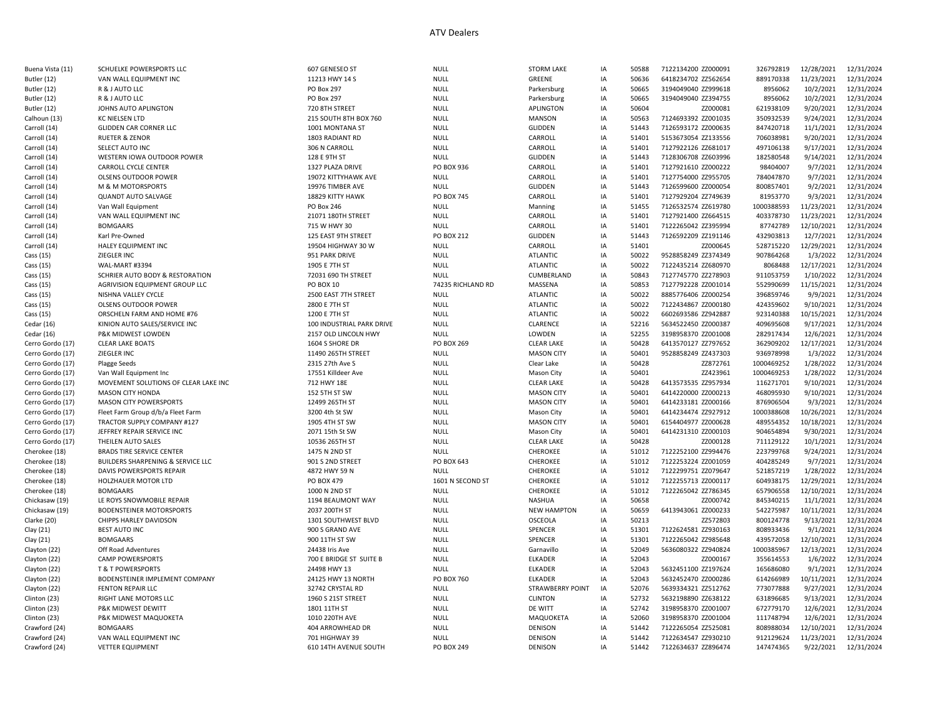| Buena Vista (11) | SCHUELKE POWERSPORTS LLC             | 607 GENESEO ST            | <b>NULL</b>       | <b>STORM LAKE</b>       | IA | 50588 | 7122134200 ZZ000091 | 326792819  | 12/28/2021 | 12/31/2024 |
|------------------|--------------------------------------|---------------------------|-------------------|-------------------------|----|-------|---------------------|------------|------------|------------|
| Butler (12)      | VAN WALL EQUIPMENT INC               | 11213 HWY 14 S            | <b>NULL</b>       | GREENE                  | IA | 50636 | 6418234702 ZZ562654 | 889170338  | 11/23/2021 | 12/31/2024 |
| Butler (12)      | R & J AUTO LLC                       | PO Box 297                | <b>NULL</b>       | Parkersburg             | IA | 50665 | 3194049040 ZZ999618 | 8956062    | 10/2/2021  | 12/31/2024 |
| Butler (12)      | R & J AUTO LLC                       | <b>PO Box 297</b>         | <b>NULL</b>       | Parkersburg             | IA | 50665 | 3194049040 ZZ394755 | 8956062    | 10/2/2021  | 12/31/2024 |
| Butler (12)      | JOHNS AUTO APLINGTON                 | 720 8TH STREET            | <b>NULL</b>       | <b>APLINGTON</b>        | IA | 50604 | ZZ000081            | 621938109  | 9/20/2021  | 12/31/2024 |
| Calhoun (13)     | KC NIELSEN LTD                       | 215 SOUTH 8TH BOX 760     | <b>NULL</b>       | <b>MANSON</b>           | IA | 50563 | 7124693392 ZZ001035 | 350932539  | 9/24/2021  | 12/31/2024 |
| Carroll (14)     | <b>GLIDDEN CAR CORNER LLC</b>        | 1001 MONTANA ST           | <b>NULL</b>       | <b>GLIDDEN</b>          | IA | 51443 | 7126593172 ZZ000635 | 847420718  | 11/1/2021  | 12/31/2024 |
| Carroll (14)     | <b>RUETER &amp; ZENOR</b>            | 1803 RADIANT RD           | NULL              | CARROLL                 | IA | 51401 | 5153673054 ZZ133556 | 706038981  | 9/20/2021  | 12/31/2024 |
| Carroll (14)     | SELECT AUTO INC                      | 306 N CARROLL             | NULL              | CARROLL                 | IA | 51401 | 7127922126 ZZ681017 | 497106138  | 9/17/2021  | 12/31/2024 |
| Carroll (14)     | WESTERN IOWA OUTDOOR POWER           | 128 E 9TH ST              | NULL              | <b>GLIDDEN</b>          | IA | 51443 | 7128306708 ZZ603996 | 182580548  | 9/14/2021  | 12/31/2024 |
| Carroll (14)     | <b>CARROLL CYCLE CENTER</b>          | 1327 PLAZA DRIVE          | PO BOX 936        | CARROLL                 | IA | 51401 | 7127921610 ZZ000222 | 98404007   | 9/7/2021   | 12/31/2024 |
|                  | <b>OLSENS OUTDOOR POWER</b>          | 19072 KITTYHAWK AVE       | <b>NULL</b>       | CARROLI                 | IA | 51401 | 7127754000 ZZ955705 | 784047870  | 9/7/2021   | 12/31/2024 |
| Carroll (14)     |                                      |                           |                   |                         |    |       |                     |            |            |            |
| Carroll (14)     | M & M MOTORSPORTS                    | 19976 TIMBER AVE          | NULL              | <b>GLIDDEN</b>          | IA | 51443 | 7126599600 ZZ000054 | 800857401  | 9/2/2021   | 12/31/2024 |
| Carroll (14)     | <b>QUANDT AUTO SALVAGE</b>           | 18829 KITTY HAWK          | PO BOX 745        | CARROLL                 | IA | 51401 | 7127929204 ZZ749639 | 81953770   | 9/3/2021   | 12/31/2024 |
| Carroll (14)     | Van Wall Equipment                   | PO Box 246                | <b>NULL</b>       | Manning                 | IA | 51455 | 7126532574 ZZ619780 | 1000388593 | 11/23/2021 | 12/31/2024 |
| Carroll (14)     | VAN WALL EQUIPMENT INC               | 21071 180TH STREET        | <b>NULL</b>       | CARROLI                 | IA | 51401 | 7127921400 ZZ664515 | 403378730  | 11/23/2021 | 12/31/2024 |
| Carroll (14)     | <b>BOMGAARS</b>                      | 715 W HWY 30              | <b>NULL</b>       | CARROLL                 | IA | 51401 | 7122265042 ZZ395994 | 87742789   | 12/10/2021 | 12/31/2024 |
| Carroll (14)     | Karl Pre-Owned                       | 125 EAST 9TH STREET       | PO BOX 212        | <b>GLIDDEN</b>          | IA | 51443 | 7126592209 ZZ191146 | 432903813  | 12/7/2021  | 12/31/2024 |
| Carroll (14)     | HALEY EQUIPMENT INC                  | 19504 HIGHWAY 30 W        | <b>NULL</b>       | CARROLL                 | IA | 51401 | ZZ000645            | 528715220  | 12/29/2021 | 12/31/2024 |
| Cass (15)        | ZIEGLER INC                          | 951 PARK DRIVE            | <b>NULL</b>       | <b>ATLANTIC</b>         | IA | 50022 | 9528858249 ZZ374349 | 907864268  | 1/3/2022   | 12/31/2024 |
| Cass (15)        | WAL-MART #3394                       | 1905 E 7TH ST             | <b>NULL</b>       | <b>ATLANTIC</b>         | IA | 50022 | 7122435214 ZZ680970 | 8068488    | 12/17/2021 | 12/31/2024 |
| Cass (15)        | SCHRIER AUTO BODY & RESTORATION      | 72031 690 TH STREET       | <b>NULL</b>       | CUMBERLAND              | IA | 50843 | 7127745770 ZZ278903 | 911053759  | 1/10/2022  | 12/31/2024 |
| Cass (15)        | AGRIVISION EQUIPMENT GROUP LLC       | PO BOX 10                 | 74235 RICHLAND RD | MASSENA                 | IA | 50853 | 7127792228 ZZ001014 | 552990699  | 11/15/2021 | 12/31/2024 |
| Cass (15)        | NISHNA VALLEY CYCLE                  | 2500 EAST 7TH STREET      | <b>NULL</b>       | <b>ATLANTIC</b>         | IA | 50022 | 8885776406 ZZ000254 | 396859746  | 9/9/2021   | 12/31/2024 |
| Cass (15)        | <b>OLSENS OUTDOOR POWER</b>          | 2800 E 7TH ST             | <b>NULL</b>       | <b>ATLANTIC</b>         | IA | 50022 | 7122434867 ZZ000180 | 424359602  | 9/10/2021  | 12/31/2024 |
| Cass (15)        | ORSCHELN FARM AND HOME #76           | 1200 E 7TH ST             | <b>NULL</b>       | <b>ATLANTIC</b>         | IA | 50022 | 6602693586 ZZ942887 | 923140388  | 10/15/2021 | 12/31/2024 |
| Cedar (16)       | KINION AUTO SALES/SERVICE INC        | 100 INDUSTRIAL PARK DRIVE | <b>NULL</b>       | CLARENCE                | IA | 52216 | 5634522450 ZZ000387 | 409695608  | 9/17/2021  | 12/31/2024 |
| Cedar (16)       | P&K MIDWEST LOWDEN                   | 2157 OLD LINCOLN HWY      | <b>NULL</b>       | LOWDEN                  | IA | 52255 | 3198958370 ZZ001008 | 282917434  | 12/6/2021  | 12/31/2024 |
| Cerro Gordo (17) | <b>CLEAR LAKE BOATS</b>              | 1604 S SHORE DR           | <b>PO BOX 269</b> | <b>CLEAR LAKE</b>       | IA | 50428 | 6413570127 ZZ797652 | 362909202  | 12/17/2021 | 12/31/2024 |
| Cerro Gordo (17) | ZIEGLER INC                          | 11490 265TH STREET        |                   | <b>MASON CITY</b>       |    | 50401 | 9528858249 ZZ437303 | 936978998  | 1/3/2022   | 12/31/2024 |
|                  |                                      |                           | NULL              |                         | IA |       |                     |            |            |            |
| Cerro Gordo (17) | <b>Plagge Seeds</b>                  | 2315 27th Ave S           | <b>NULL</b>       | Clear Lake              | IA | 50428 | ZZ872761            | 1000469252 | 1/28/2022  | 12/31/2024 |
| Cerro Gordo (17) | Van Wall Equipment Inc               | 17551 Killdeer Ave        | <b>NULL</b>       | Mason City              | IA | 50401 | ZZ423961            | 1000469253 | 1/28/2022  | 12/31/2024 |
| Cerro Gordo (17) | MOVEMENT SOLUTIONS OF CLEAR LAKE INC | 712 HWY 18E               | NULL              | <b>CLEAR LAKE</b>       | IA | 50428 | 6413573535 ZZ957934 | 116271701  | 9/10/2021  | 12/31/2024 |
| Cerro Gordo (17) | <b>MASON CITY HONDA</b>              | 152 5TH ST SW             | <b>NULL</b>       | <b>MASON CITY</b>       | IA | 50401 | 6414220000 ZZ000213 | 468095930  | 9/10/2021  | 12/31/2024 |
| Cerro Gordo (17) | <b>MASON CITY POWERSPORTS</b>        | 12499 265TH ST            | <b>NULL</b>       | <b>MASON CITY</b>       | IA | 50401 | 6414233181 ZZ000166 | 876906504  | 9/3/2021   | 12/31/2024 |
| Cerro Gordo (17) | Fleet Farm Group d/b/a Fleet Farm    | 3200 4th St SW            | <b>NULL</b>       | Mason City              | IA | 50401 | 6414234474 ZZ927912 | 1000388608 | 10/26/2021 | 12/31/2024 |
| Cerro Gordo (17) | TRACTOR SUPPLY COMPANY #127          | 1905 4TH ST SW            | <b>NULL</b>       | <b>MASON CITY</b>       | IA | 50401 | 6154404977 ZZ000628 | 489554352  | 10/18/2021 | 12/31/2024 |
| Cerro Gordo (17) | JEFFREY REPAIR SERVICE INC           | 2071 15th St SW           | <b>NULL</b>       | Mason City              | IA | 50401 | 6414231310 ZZ000103 | 904654894  | 9/30/2021  | 12/31/2024 |
| Cerro Gordo (17) | THEILEN AUTO SALES                   | 10536 265TH ST            | <b>NULL</b>       | <b>CLEAR LAKE</b>       | IA | 50428 | ZZ000128            | 711129122  | 10/1/2021  | 12/31/2024 |
| Cherokee (18)    | <b>BRADS TIRE SERVICE CENTER</b>     | 1475 N 2ND ST             | <b>NULL</b>       | CHEROKEE                | IA | 51012 | 7122252100 ZZ994476 | 223799768  | 9/24/2021  | 12/31/2024 |
| Cherokee (18)    | BUILDERS SHARPENING & SERVICE LLC    | 901 S 2ND STREET          | PO BOX 643        | CHEROKEE                | IA | 51012 | 7122253224 ZZ001059 | 404285249  | 9/7/2021   | 12/31/2024 |
| Cherokee (18)    | DAVIS POWERSPORTS REPAIR             | 4872 HWY 59 N             | <b>NULL</b>       | CHEROKEE                | IA | 51012 | 7122299751 ZZ079647 | 521857219  | 1/28/2022  | 12/31/2024 |
| Cherokee (18)    | HOLZHAUER MOTOR LTD                  | PO BOX 479                | 1601 N SECOND ST  | CHEROKEE                | IA | 51012 | 7122255713 ZZ000117 | 604938175  | 12/29/2021 | 12/31/2024 |
| Cherokee (18)    | <b>BOMGAARS</b>                      | 1000 N 2ND ST             | <b>NULL</b>       | CHEROKEE                | IA | 51012 | 7122265042 ZZ786345 | 657906558  | 12/10/2021 | 12/31/2024 |
| Chickasaw (19)   | LE ROYS SNOWMOBILE REPAIR            | 1194 BEAUMONT WAY         | <b>NULL</b>       | <b>NASHUA</b>           | IA | 50658 | ZZ000742            | 845340215  | 11/1/2021  | 12/31/2024 |
| Chickasaw (19)   | <b>BODENSTEINER MOTORSPORTS</b>      | 2037 200TH ST             | <b>NULL</b>       | <b>NEW HAMPTON</b>      | IA | 50659 | 6413943061 ZZ000233 | 542275987  | 10/11/2021 | 12/31/2024 |
| Clarke (20)      | <b>CHIPPS HARLEY DAVIDSON</b>        | 1301 SOUTHWEST BLVD       | <b>NULL</b>       | OSCEOLA                 | IA | 50213 | ZZ572803            | 800124778  | 9/13/2021  | 12/31/2024 |
| Clay (21)        | <b>BEST AUTO INC</b>                 | 900 S GRAND AVE           | <b>NULL</b>       | SPENCER                 | IA | 51301 | 7122624581 ZZ930163 | 808933436  | 9/1/2021   | 12/31/2024 |
|                  | <b>BOMGAARS</b>                      | 900 11TH ST SW            | <b>NULL</b>       | SPENCER                 | IA | 51301 | 7122265042 ZZ985648 | 439572058  | 12/10/2021 | 12/31/2024 |
| Clay (21)        |                                      |                           |                   |                         |    |       |                     |            |            |            |
| Clayton (22)     | Off Road Adventures                  | 24438 Iris Ave            | <b>NULL</b>       | Garnavillo              | IA | 52049 | 5636080322 ZZ940824 | 1000385967 | 12/13/2021 | 12/31/2024 |
| Clayton (22)     | <b>CAMP POWERSPORTS</b>              | 700 E BRIDGE ST SUITE B   | <b>NULL</b>       | ELKADER                 | IA | 52043 | ZZ000167            | 355614553  | 1/6/2022   | 12/31/2024 |
| Clayton (22)     | <b>T &amp; T POWERSPORTS</b>         | 24498 HWY 13              | <b>NULL</b>       | <b>ELKADER</b>          | IA | 52043 | 5632451100 ZZ197624 | 165686080  | 9/1/2021   | 12/31/2024 |
| Clayton (22)     | BODENSTEINER IMPLEMENT COMPANY       | 24125 HWY 13 NORTH        | <b>PO BOX 760</b> | <b>ELKADER</b>          | IA | 52043 | 5632452470 ZZ000286 | 614266989  | 10/11/2021 | 12/31/2024 |
| Clayton (22)     | FENTON REPAIR LLC                    | 32742 CRYSTAL RD          | <b>NULL</b>       | <b>STRAWBERRY POINT</b> | IA | 52076 | 5639334321 ZZ512762 | 773077888  | 9/27/2021  | 12/31/2024 |
| Clinton (23)     | RIGHT LANE MOTORS LLC                | 1960 S 21ST STREET        | <b>NULL</b>       | <b>CLINTON</b>          | IA | 52732 | 5632198890 ZZ638122 | 631896685  | 9/13/2021  | 12/31/2024 |
| Clinton (23)     | P&K MIDWEST DEWITT                   | 1801 11TH ST              | <b>NULL</b>       | DE WITT                 | IA | 52742 | 3198958370 ZZ001007 | 672779170  | 12/6/2021  | 12/31/2024 |
| Clinton (23)     | P&K MIDWEST MAQUOKETA                | 1010 220TH AVE            | NULL              | MAQUOKETA               | IA | 52060 | 3198958370 ZZ001004 | 111748794  | 12/6/2021  | 12/31/2024 |
| Crawford (24)    | <b>BOMGAARS</b>                      | 404 ARROWHEAD DR          | NULL              | DENISON                 | IA | 51442 | 7122265054 ZZ525081 | 808988034  | 12/10/2021 | 12/31/2024 |
| Crawford (24)    | VAN WALL EQUIPMENT INC               | 701 HIGHWAY 39            | <b>NULL</b>       | DENISON                 | IA | 51442 | 7122634547 ZZ930210 | 912129624  | 11/23/2021 | 12/31/2024 |
| Crawford (24)    | <b>VETTER EQUIPMENT</b>              | 610 14TH AVENUE SOUTH     | <b>PO BOX 249</b> | DENISON                 | IA | 51442 | 7122634637 ZZ896474 | 147474365  | 9/22/2021  | 12/31/2024 |
|                  |                                      |                           |                   |                         |    |       |                     |            |            |            |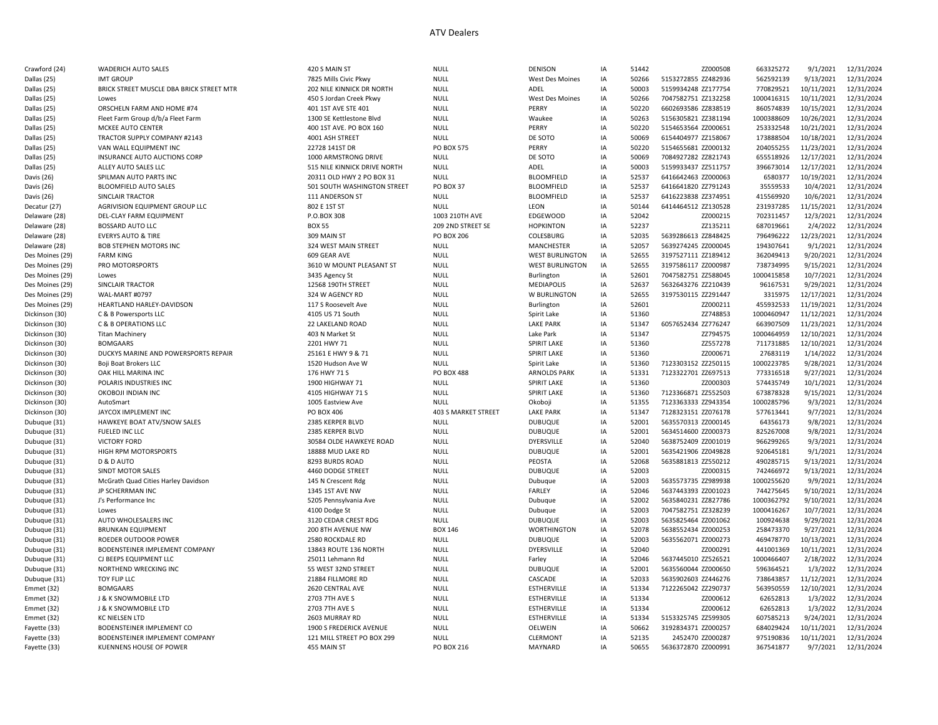## ATV Dealers

| Crawford (24)   | <b>WADERICH AUTO SALES</b>               | 420 S MAIN ST                | <b>NULL</b>         | DENISON                | IA | 51442 | ZZ000508            | 663325272  | 9/1/2021   | 12/31/2024          |
|-----------------|------------------------------------------|------------------------------|---------------------|------------------------|----|-------|---------------------|------------|------------|---------------------|
| Dallas (25)     | <b>IMT GROUP</b>                         | 7825 Mills Civic Pkwy        | <b>NULL</b>         | <b>West Des Moines</b> | IA | 50266 | 5153272855 ZZ482936 | 562592139  | 9/13/2021  | 12/31/2024          |
| Dallas (25)     | BRICK STREET MUSCLE DBA BRICK STREET MTR | 202 NILE KINNICK DR NORTH    | <b>NULL</b>         | ADEL                   | IA | 50003 | 5159934248 ZZ177754 | 770829521  | 10/11/2021 | 12/31/2024          |
| Dallas (25)     | Lowes                                    | 450 S Jordan Creek Pkwy      | <b>NULL</b>         | <b>West Des Moines</b> | IA | 50266 | 7047582751 ZZ132258 | 1000416315 | 10/11/2021 | 12/31/2024          |
| Dallas (25)     | ORSCHELN FARM AND HOME #74               | 401 1ST AVE STE 401          | <b>NULL</b>         | PERRY                  | IA | 50220 | 6602693586 ZZ838519 | 860574839  | 10/15/2021 | 12/31/2024          |
| Dallas (25)     | Fleet Farm Group d/b/a Fleet Farm        | 1300 SE Kettlestone Blvd     | <b>NULL</b>         | Waukee                 | IA | 50263 | 5156305821 ZZ381194 | 1000388609 | 10/26/2021 | 12/31/2024          |
| Dallas (25)     | MCKEE AUTO CENTER                        | 400 1ST AVE. PO BOX 160      | <b>NULL</b>         | PERRY                  | IA | 50220 | 5154653564 ZZ000651 | 253332548  | 10/21/2021 | 12/31/2024          |
| Dallas (25)     | TRACTOR SUPPLY COMPANY #2143             | 4001 ASH STREET              | <b>NULL</b>         | DE SOTO                | IA | 50069 | 6154404977 ZZ158067 | 173888504  | 10/18/2021 | 12/31/2024          |
| Dallas (25)     | VAN WALL EQUIPMENT INC                   | 22728 141ST DR               | <b>PO BOX 575</b>   | PERRY                  | IA | 50220 | 5154655681 ZZ000132 | 204055255  | 11/23/2021 | 12/31/2024          |
| Dallas (25)     | INSURANCE AUTO AUCTIONS CORP             | 1000 ARMSTRONG DRIVE         | <b>NULL</b>         | DE SOTO                | IA | 50069 | 7084927282 ZZ821743 | 655518926  | 12/17/2021 | 12/31/2024          |
| Dallas (25)     | ALLEY AUTO SALES LLC                     | 515 NILE KINNICK DRIVE NORTH | <b>NULL</b>         | ADEL                   | IA | 50003 | 5159933437 ZZ511757 | 396673014  | 12/17/2021 | 12/31/2024          |
| Davis (26)      | SPILMAN AUTO PARTS INC                   | 20311 OLD HWY 2 PO BOX 31    | <b>NULL</b>         | <b>BLOOMFIELD</b>      | IA | 52537 | 6416642463 ZZ000063 | 6580377    | 10/19/2021 | 12/31/2024          |
| Davis (26)      | <b>BLOOMFIELD AUTO SALES</b>             | 501 SOUTH WASHINGTON STREET  | PO BOX 37           | <b>BLOOMFIELD</b>      | IA | 52537 | 6416641820 ZZ791243 | 35559533   | 10/4/2021  | 12/31/2024          |
| Davis (26)      | SINCLAIR TRACTOR                         | 111 ANDERSON ST              | <b>NULL</b>         | <b>BLOOMFIELD</b>      | IA | 52537 | 6416223838 ZZ374951 | 415569920  | 10/6/2021  | 12/31/2024          |
| Decatur (27)    | AGRIVISION EQUIPMENT GROUP LLC           | 802 E 1ST ST                 | <b>NULL</b>         | LEON                   | IA | 50144 | 6414464512 ZZ130528 | 231937285  | 11/15/2021 | 12/31/2024          |
|                 | DEL-CLAY FARM EQUIPMENT                  | P.O.BOX 308                  | 1003 210TH AVE      | <b>EDGEWOOD</b>        | IA | 52042 | ZZ000215            | 702311457  | 12/3/2021  |                     |
| Delaware (28)   | <b>BOSSARD AUTO LLC</b>                  | <b>BOX 55</b>                | 209 2ND STREET SE   |                        | IA | 52237 |                     |            | 2/4/2022   | 12/31/2024          |
| Delaware (28)   |                                          |                              |                     | <b>HOPKINTON</b>       |    |       | ZZ135211            | 687019661  |            | 12/31/2024          |
| Delaware (28)   | <b>EVERYS AUTO &amp; TIRE</b>            | 309 MAIN ST                  | <b>PO BOX 206</b>   | COLESBURG              | IA | 52035 | 5639286613 ZZ848425 | 796496222  | 12/23/2021 | 12/31/2024          |
| Delaware (28)   | <b>BOB STEPHEN MOTORS INC</b>            | 324 WEST MAIN STREET         | <b>NULL</b>         | MANCHESTER             | IA | 52057 | 5639274245 ZZ000045 | 194307641  | 9/1/2021   | 12/31/2024          |
| Des Moines (29) | <b>FARM KING</b>                         | 609 GEAR AVE                 | <b>NULL</b>         | <b>WEST BURLINGTON</b> | IA | 52655 | 3197527111 ZZ189412 | 362049413  | 9/20/2021  | 12/31/2024          |
| Des Moines (29) | PRO MOTORSPORTS                          | 3610 W MOUNT PLEASANT ST     | <b>NULL</b>         | <b>WEST BURLINGTON</b> | IA | 52655 | 3197586117 ZZ000987 | 738734995  | 9/15/2021  | 12/31/2024          |
| Des Moines (29) | Lowes                                    | 3435 Agency St               | <b>NULL</b>         | Burlington             | IA | 52601 | 7047582751 ZZ588045 | 1000415858 | 10/7/2021  | 12/31/2024          |
| Des Moines (29) | SINCLAIR TRACTOR                         | 12568 190TH STREET           | <b>NULL</b>         | <b>MEDIAPOLIS</b>      | IA | 52637 | 5632643276 ZZ210439 | 96167531   | 9/29/2021  | 12/31/2024          |
| Des Moines (29) | WAL-MART #0797                           | 324 W AGENCY RD              | <b>NULL</b>         | W BURLINGTON           | IA | 52655 | 3197530115 ZZ291447 | 3315975    | 12/17/2021 | 12/31/2024          |
| Des Moines (29) | HEARTLAND HARLEY-DAVIDSON                | 117 S Roosevelt Ave          | <b>NULL</b>         | Burlington             | IA | 52601 | ZZ000211            | 455932533  | 11/19/2021 | 12/31/2024          |
| Dickinson (30)  | C & B Powersports LLC                    | 4105 US 71 South             | <b>NULL</b>         | Spirit Lake            | IA | 51360 | ZZ748853            | 1000460947 | 11/12/2021 | 12/31/2024          |
| Dickinson (30)  | <b>C &amp; B OPERATIONS LLC</b>          | 22 LAKELAND ROAD             | <b>NULL</b>         | <b>LAKE PARK</b>       | IA | 51347 | 6057652434 ZZ776247 | 663907509  | 11/23/2021 | 12/31/2024          |
| Dickinson (30)  | <b>Titan Machinery</b>                   | 403 N Market St              | <b>NULL</b>         | Lake Park              | IA | 51347 | ZZ794575            | 1000464959 | 12/10/2021 | 12/31/2024          |
| Dickinson (30)  | <b>BOMGAARS</b>                          | 2201 HWY 71                  | <b>NULL</b>         | <b>SPIRIT LAKE</b>     | IA | 51360 | ZZ557278            | 711731885  | 12/10/2021 | 12/31/2024          |
| Dickinson (30)  | DUCKYS MARINE AND POWERSPORTS REPAIR     | 25161 E HWY 9 & 71           | <b>NULL</b>         | <b>SPIRIT LAKE</b>     | IA | 51360 | ZZ000671            | 27683119   | 1/14/2022  | 12/31/2024          |
| Dickinson (30)  | Boji Boat Brokers LLC                    | 1520 Hudson Ave W            | <b>NULL</b>         | Spirit Lake            | IA | 51360 | 7123303152 ZZ250115 | 1000223785 | 9/28/2021  | 12/31/2024          |
| Dickinson (30)  | OAK HILL MARINA INC                      | 176 HWY 71 S                 | <b>PO BOX 488</b>   | <b>ARNOLDS PARK</b>    | IA | 51331 | 7123322701 ZZ697513 | 773316518  | 9/27/2021  | 12/31/2024          |
| Dickinson (30)  | POLARIS INDUSTRIES INC                   | 1900 HIGHWAY 71              | <b>NULL</b>         | <b>SPIRIT LAKE</b>     | IA | 51360 | ZZ000303            | 574435749  | 10/1/2021  | 12/31/2024          |
| Dickinson (30)  | OKOBOJI INDIAN INC                       | 4105 HIGHWAY 71 S            | <b>NULL</b>         | <b>SPIRIT LAKE</b>     | IA | 51360 | 7123366871 ZZ552503 | 673878328  | 9/15/2021  | 12/31/2024          |
| Dickinson (30)  | AutoSmart                                | 1005 Eastview Ave            | <b>NULL</b>         | Okoboji                | IA | 51355 | 7123363333 ZZ943354 | 1000285796 | 9/3/2021   | 12/31/2024          |
| Dickinson (30)  | JAYCOX IMPLEMENT INC                     | PO BOX 406                   | 403 S MARKET STREET | <b>LAKE PARK</b>       | IA | 51347 | 7128323151 ZZ076178 | 577613441  | 9/7/2021   | 12/31/2024          |
| Dubuque (31)    | HAWKEYE BOAT ATV/SNOW SALES              | 2385 KERPER BLVD             | <b>NULL</b>         | <b>DUBUQUE</b>         | IA | 52001 | 5635570313 ZZ000145 | 64356173   | 9/8/2021   | 12/31/2024          |
| Dubuque (31)    | FUELED INC LLC                           | 2385 KERPER BLVD             | <b>NULL</b>         | <b>DUBUQUE</b>         | IA | 52001 | 5634514600 ZZ000373 | 825267008  | 9/8/2021   | 12/31/2024          |
| Dubuque (31)    | <b>VICTORY FORD</b>                      | 30584 OLDE HAWKEYE ROAD      | <b>NULL</b>         | DYERSVILLE             | IA | 52040 | 5638752409 ZZ001019 | 966299265  | 9/3/2021   | 12/31/2024          |
| Dubuque (31)    | HIGH RPM MOTORSPORTS                     | 18888 MUD LAKE RD            | <b>NULL</b>         | <b>DUBUQUE</b>         | IA | 52001 | 5635421906 ZZ049828 | 920645181  | 9/1/2021   | 12/31/2024          |
| Dubuque (31)    | D & D AUTO                               | 8293 BURDS ROAD              | <b>NULL</b>         | PEOSTA                 | IA | 52068 | 5635881813 ZZ550212 | 490285715  | 9/13/2021  | 12/31/2024          |
| Dubuque (31)    | SINDT MOTOR SALES                        | 4460 DODGE STREET            | <b>NULL</b>         | <b>DUBUQUE</b>         | IA | 52003 | ZZ000315            | 742466972  | 9/13/2021  | 12/31/2024          |
| Dubuque (31)    | McGrath Quad Cities Harley Davidson      | 145 N Crescent Rdg           | <b>NULL</b>         | Dubuque                | IA | 52003 | 5635573735 ZZ989938 | 1000255620 | 9/9/2021   | 12/31/2024          |
| Dubuque (31)    | JP SCHERRMAN INC                         | 1345 1ST AVE NW              | <b>NULL</b>         | <b>FARLEY</b>          | IA | 52046 | 5637443393 ZZ001023 | 744275645  | 9/10/2021  | 12/31/2024          |
| Dubuque (31)    | J's Performance Inc                      | 5205 Pennsylvania Ave        | <b>NULL</b>         | Dubuque                | IA | 52002 | 5635840231 ZZ827786 | 1000362792 | 9/10/2021  | 12/31/2024          |
| Dubuque (31)    | Lowes                                    | 4100 Dodge St                | <b>NULL</b>         | Dubuque                | IA | 52003 | 7047582751 ZZ328239 | 1000416267 | 10/7/2021  | 12/31/2024          |
| Dubuque (31)    | AUTO WHOLESALERS INC                     | 3120 CEDAR CREST RDG         | <b>NULL</b>         | <b>DUBUQUE</b>         | IA | 52003 | 5635825464 ZZ001062 | 100924638  | 9/29/2021  | 12/31/2024          |
| Dubuque (31)    | <b>BRUNKAN EQUIPMENT</b>                 | 200 8TH AVENUE NW            | <b>BOX 146</b>      | <b>WORTHINGTON</b>     | IA | 52078 | 5638552434 ZZ000253 | 258473370  | 9/27/2021  | 12/31/2024          |
| Dubuque (31)    | ROEDER OUTDOOR POWER                     | 2580 ROCKDALE RD             | <b>NULL</b>         | <b>DUBUQUE</b>         | IA | 52003 | 5635562071 ZZ000273 | 469478770  | 10/13/2021 | 12/31/2024          |
| Dubuque (31)    | BODENSTEINER IMPLEMENT COMPANY           | 13843 ROUTE 136 NORTH        | <b>NULL</b>         | DYERSVILLE             | IA | 52040 | ZZ000291            | 441001369  | 10/11/2021 | 12/31/2024          |
|                 | CJ BEEPS EQUIPMENT LLC                   |                              | <b>NULL</b>         |                        | IA | 52046 | 5637445010 ZZ526521 | 1000466407 | 2/18/2022  | 12/31/2024          |
| Dubuque (31)    |                                          | 25011 Lehmann Rd             |                     | Farley                 |    |       |                     |            | 1/3/2022   |                     |
| Dubuque (31)    | NORTHEND WRECKING INC                    | 55 WEST 32ND STREET          | <b>NULL</b>         | <b>DUBUQUE</b>         | IA | 52001 | 5635560044 ZZ000650 | 596364521  |            | 12/31/2024          |
| Dubuque (31)    | TOY FLIP LLC                             | 21884 FILLMORE RD            | <b>NULL</b>         | CASCADE                | IA | 52033 | 5635902603 ZZ446276 | 738643857  | 11/12/2021 | 12/31/2024          |
| Emmet (32)      | <b>BOMGAARS</b>                          | 2620 CENTRAL AVE             | <b>NULL</b>         | <b>ESTHERVILLE</b>     | IA | 51334 | 7122265042 ZZ290737 | 563950559  | 12/10/2021 | 12/31/2024          |
| Emmet (32)      | J & K SNOWMOBILE LTD                     | 2703 7TH AVE S               | <b>NULL</b>         | <b>ESTHERVILLE</b>     | IA | 51334 | ZZ000612            | 62652813   | 1/3/2022   | 12/31/2024          |
| Emmet (32)      | J & K SNOWMOBILE LTD                     | 2703 7TH AVE S               | <b>NULL</b>         | <b>ESTHERVILLE</b>     | IA | 51334 | ZZ000612            | 62652813   | 1/3/2022   | 12/31/2024          |
| Emmet (32)      | <b>KC NIELSEN LTD</b>                    | 2603 MURRAY RD               | <b>NULL</b>         | ESTHERVILLE            | IA | 51334 | 5153325745 ZZ599305 | 607585213  | 9/24/2021  | 12/31/2024          |
| Fayette (33)    | BODENSTEINER IMPLEMENT CO                | 1900 S FREDERICK AVENUE      | <b>NULL</b>         | OELWEIN                | IA | 50662 | 3192834371 ZZ000257 | 684029424  | 10/11/2021 | 12/31/2024          |
| Fayette (33)    | BODENSTEINER IMPLEMENT COMPANY           | 121 MILL STREET PO BOX 299   | <b>NULL</b>         | <b>CLERMONT</b>        | IA | 52135 | 2452470 ZZ000287    | 975190836  | 10/11/2021 | 12/31/2024          |
| Fayette (33)    | KUENNENS HOUSE OF POWER                  | 455 MAIN ST                  | PO BOX 216          | <b>MAYNARD</b>         | IA | 50655 | 5636372870 ZZ000991 | 367541877  |            | 9/7/2021 12/31/2024 |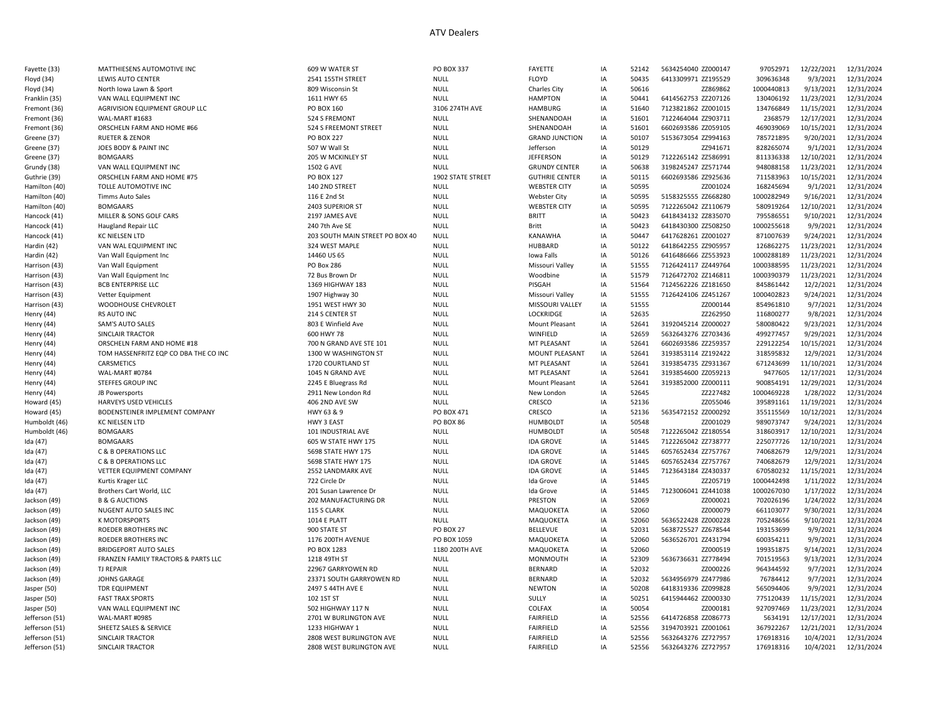| Fayette (33)   | MATTHIESENS AUTOMOTIVE INC            | 609 W WATER ST                  | <b>PO BOX 337</b> | FAYETTE               | IA | 52142 | 5634254040 ZZ000147 | 97052971   | 12/22/2021 | 12/31/2024 |
|----------------|---------------------------------------|---------------------------------|-------------------|-----------------------|----|-------|---------------------|------------|------------|------------|
| Floyd (34)     | LEWIS AUTO CENTER                     | 2541 155TH STREET               | <b>NULL</b>       | FLOYD                 | IA | 50435 | 6413309971 ZZ195529 | 309636348  | 9/3/2021   | 12/31/2024 |
| Floyd (34)     | North Iowa Lawn & Sport               | 809 Wisconsin St                | <b>NULL</b>       | Charles City          | IA | 50616 | ZZ869862            | 1000440813 | 9/13/2021  | 12/31/2024 |
| Franklin (35)  | VAN WALL EQUIPMENT INC                | 1611 HWY 65                     | <b>NULL</b>       | <b>HAMPTON</b>        | IA | 50441 | 6414562753 ZZ207126 | 130406192  | 11/23/2021 | 12/31/2024 |
| Fremont (36)   | AGRIVISION EQUIPMENT GROUP LLC        | PO BOX 160                      | 3106 274TH AVE    | <b>HAMBURG</b>        | IA | 51640 | 7123821862 ZZ001015 | 134766849  | 11/15/2021 | 12/31/2024 |
| Fremont (36)   | WAL-MART #1683                        | 524 S FREMONT                   | <b>NULL</b>       | SHENANDOAH            | IA | 51601 | 7122464044 ZZ903711 | 2368579    | 12/17/2021 | 12/31/2024 |
| Fremont (36)   | ORSCHELN FARM AND HOME #66            | 524 S FREEMONT STREET           | <b>NULL</b>       | SHENANDOAH            | IA | 51601 | 6602693586 ZZ059105 | 469039069  | 10/15/2021 | 12/31/2024 |
| Greene (37)    | <b>RUETER &amp; ZENOR</b>             | <b>PO BOX 227</b>               | <b>NULL</b>       | <b>GRAND JUNCTION</b> | IA | 50107 | 5153673054 ZZ994163 | 785721895  | 9/20/2021  | 12/31/2024 |
| Greene (37)    | JOES BODY & PAINT INC                 | 507 W Wall St                   | <b>NULL</b>       | Jefferson             | IA | 50129 | ZZ941671            | 828265074  | 9/1/2021   | 12/31/2024 |
| Greene (37)    | <b>BOMGAARS</b>                       | 205 W MCKINLEY ST               | <b>NULL</b>       | <b>JEFFERSON</b>      | IA | 50129 | 7122265142 ZZ586991 | 811336338  | 12/10/2021 | 12/31/2024 |
| Grundy (38)    | VAN WALL EQUIPMENT INC                | 1502 G AVE                      | <b>NULL</b>       | <b>GRUNDY CENTER</b>  | IA | 50638 | 3198245247 ZZ571744 | 948088158  | 11/23/2021 | 12/31/2024 |
| Guthrie (39)   | ORSCHELN FARM AND HOME #75            | PO BOX 127                      | 1902 STATE STREET | <b>GUTHRIE CENTER</b> | IA | 50115 | 6602693586 ZZ925636 | 711583963  | 10/15/2021 | 12/31/2024 |
| Hamilton (40)  | TOLLE AUTOMOTIVE INC                  | 140 2ND STREET                  | <b>NULL</b>       | <b>WEBSTER CITY</b>   | IA | 50595 | ZZ001024            | 168245694  | 9/1/2021   | 12/31/2024 |
| Hamilton (40)  | Timms Auto Sales                      | 116 E 2nd St                    | <b>NULL</b>       | <b>Webster City</b>   | IA | 50595 | 5158325555 ZZ668280 | 1000282949 | 9/16/2021  | 12/31/2024 |
| Hamilton (40)  | <b>BOMGAARS</b>                       | 2403 SUPERIOR ST                | <b>NULL</b>       | <b>WEBSTER CITY</b>   | IA | 50595 | 7122265042 ZZ110679 | 580919264  | 12/10/2021 | 12/31/2024 |
| Hancock (41)   | MILLER & SONS GOLF CARS               | 2197 JAMES AVE                  | <b>NULL</b>       | <b>BRITT</b>          | IA | 50423 | 6418434132 ZZ835070 | 795586551  | 9/10/2021  | 12/31/2024 |
| Hancock (41)   | Haugland Repair LLC                   | 240 7th Ave SE                  | <b>NULL</b>       | Britt                 | IA | 50423 | 6418430300 ZZ508250 | 1000255618 | 9/9/2021   | 12/31/2024 |
| Hancock (41)   | KC NIELSEN LTD                        | 203 SOUTH MAIN STREET PO BOX 40 | <b>NULL</b>       | KANAWHA               | IA | 50447 | 6417628261 ZZ001027 | 871007639  | 9/24/2021  | 12/31/2024 |
| Hardin (42)    | VAN WAL EQUIPMENT INC                 | 324 WEST MAPLE                  | <b>NULL</b>       | HUBBARD               | IA | 50122 | 6418642255 ZZ905957 | 126862275  | 11/23/2021 | 12/31/2024 |
| Hardin (42)    | Van Wall Equipment Inc                | 14460 US 65                     | <b>NULL</b>       | Iowa Falls            | IA | 50126 | 6416486666 ZZ553923 | 1000288189 | 11/23/2021 | 12/31/2024 |
| Harrison (43   | Van Wall Equipment                    | PO Box 286                      | <b>NULL</b>       | Missouri Valley       | IA | 51555 | 7126424117 ZZ449764 | 1000388595 | 11/23/2021 | 12/31/2024 |
| Harrison (43)  | Van Wall Equipment Inc                | 72 Bus Brown Dr                 | <b>NULL</b>       | Woodbine              | IA | 51579 | 7126472702 ZZ146811 | 1000390379 | 11/23/2021 | 12/31/2024 |
| Harrison (43)  | <b>BCB ENTERPRISE LLC</b>             | 1369 HIGHWAY 183                | <b>NULL</b>       | PISGAH                | IA | 51564 | 7124562226 ZZ181650 | 845861442  | 12/2/2021  | 12/31/2024 |
| Harrison (43)  | Vetter Equipment                      | 1907 Highway 30                 | <b>NULL</b>       | Missouri Valley       | IA | 51555 | 7126424106 ZZ451267 | 1000402823 | 9/24/2021  | 12/31/2024 |
| Harrison (43)  | WOODHOUSE CHEVROLET                   | 1951 WEST HWY 30                | <b>NULL</b>       | MISSOURI VALLEY       | IA | 51555 | ZZ000144            | 854961810  | 9/7/2021   | 12/31/2024 |
| Henry (44)     | <b>RS AUTO INC</b>                    | 214 S CENTER ST                 | <b>NULL</b>       | <b>LOCKRIDGE</b>      | IA | 52635 | ZZ262950            | 116800277  | 9/8/2021   | 12/31/2024 |
| Henry (44)     | SAM'S AUTO SALES                      | 803 E Winfield Ave              | <b>NULL</b>       | Mount Pleasant        | IA | 52641 | 3192045214 ZZ000027 | 580080422  | 9/23/2021  | 12/31/2024 |
| Henry (44)     | SINCLAIR TRACTOR                      | 600 HWY 78                      | <b>NULL</b>       | WINFIELD              | IA | 52659 | 5632643276 ZZ703436 | 499277457  | 9/29/2021  | 12/31/2024 |
| Henry (44)     | ORSCHELN FARM AND HOME #18            | 700 N GRAND AVE STE 101         | <b>NULL</b>       | MT PLEASANT           | IA | 52641 | 6602693586 ZZ259357 | 229122254  | 10/15/2021 | 12/31/2024 |
| Henry (44)     | TOM HASSENFRITZ EQP CO DBA THE CO INC | 1300 W WASHINGTON ST            | <b>NULL</b>       | MOUNT PLEASANT        | IA | 52641 | 3193853114 ZZ192422 | 318595832  | 12/9/2021  | 12/31/2024 |
| Henry (44)     | CARSMETICS                            | 1720 COURTLAND ST               | <b>NULL</b>       | MT PLEASANT           | IA | 52641 | 3193854735 ZZ931367 | 671243699  | 11/10/2021 | 12/31/2024 |
| Henry (44)     | WAL-MART #0784                        | 1045 N GRAND AVE                | <b>NULL</b>       | MT PLEASANT           | IA | 52641 | 3193854600 ZZ059213 | 9477605    | 12/17/2021 | 12/31/2024 |
| Henry (44)     | STEFFES GROUP INC                     | 2245 E Bluegrass Rd             | <b>NULL</b>       | Mount Pleasant        | IA | 52641 | 3193852000 ZZ000111 | 900854191  | 12/29/2021 | 12/31/2024 |
| Henry (44)     | JB Powersports                        | 2911 New London Rd              | <b>NULL</b>       | New London            | IA | 52645 | ZZ227482            | 1000469228 | 1/28/2022  | 12/31/2024 |
| Howard (45)    | HARVEYS USED VEHICLES                 | 406 2ND AVE SW                  | <b>NULL</b>       | CRESCO                | IA | 52136 | ZZ055046            | 395891161  | 11/19/2021 | 12/31/2024 |
| Howard (45)    | BODENSTEINER IMPLEMENT COMPANY        | HWY 63 & 9                      | PO BOX 471        | CRESCO                | IA | 52136 | 5635472152 ZZ000292 | 355115569  | 10/12/2021 | 12/31/2024 |
| Humboldt (46)  | KC NIELSEN LTD                        | HWY 3 EAST                      | PO BOX 86         | <b>HUMBOLDT</b>       | IA | 50548 | ZZ001029            | 989073747  | 9/24/2021  | 12/31/2024 |
| Humboldt (46)  | <b>BOMGAARS</b>                       | 101 INDUSTRIAL AVE              | NULL              | <b>HUMBOLDT</b>       | IA | 50548 | 7122265042 ZZ180554 | 318603917  | 12/10/2021 | 12/31/2024 |
| Ida (47)       | <b>BOMGAARS</b>                       | 605 W STATE HWY 175             | <b>NULL</b>       | <b>IDA GROVE</b>      | IA | 51445 | 7122265042 ZZ738777 | 225077726  | 12/10/2021 | 12/31/2024 |
| Ida (47)       | <b>C &amp; B OPERATIONS LLC</b>       | 5698 STATE HWY 175              | <b>NULL</b>       | <b>IDA GROVE</b>      | IA | 51445 | 6057652434 ZZ757767 | 740682679  | 12/9/2021  | 12/31/2024 |
| Ida (47)       | <b>C &amp; B OPERATIONS LLC</b>       | 5698 STATE HWY 175              | <b>NULL</b>       | <b>IDA GROVE</b>      | IA | 51445 | 6057652434 ZZ757767 | 740682679  | 12/9/2021  | 12/31/2024 |
| Ida (47)       | VETTER EQUIPMENT COMPANY              | 2552 LANDMARK AVE               | <b>NULL</b>       | <b>IDA GROVE</b>      | IA | 51445 | 7123643184 ZZ430337 | 670580232  | 11/15/2021 | 12/31/2024 |
| Ida (47)       | Kurtis Krager LLC                     | 722 Circle Dr                   | <b>NULL</b>       | Ida Grove             | IA | 51445 | ZZ205719            | 1000442498 | 1/11/2022  | 12/31/2024 |
| Ida (47)       | Brothers Cart World, LLC              | 201 Susan Lawrence Dr           | <b>NULL</b>       | Ida Grove             | IA | 51445 | 7123006041 ZZ441038 | 1000267030 | 1/17/2022  | 12/31/2024 |
| Jackson (49)   | <b>B &amp; G AUCTIONS</b>             | 202 MANUFACTURING DR            | <b>NULL</b>       | PRESTON               | IA | 52069 | ZZ000021            | 702026196  | 1/24/2022  | 12/31/2024 |
| Jackson (49)   | NUGENT AUTO SALES INC                 | 115 S CLARK                     | <b>NULL</b>       | MAQUOKETA             | IA | 52060 | ZZ000079            | 661103077  | 9/30/2021  | 12/31/2024 |
| Jackson (49)   | K MOTORSPORTS                         | <b>1014 E PLATT</b>             | <b>NULL</b>       | MAQUOKETA             | IA | 52060 | 5636522428 ZZ000228 | 705248656  | 9/10/2021  | 12/31/2024 |
| Jackson (49)   | ROEDER BROTHERS INC                   | 900 STATE ST                    | <b>PO BOX 27</b>  | <b>BELLEVUE</b>       | IA | 52031 | 5638725527 ZZ678544 | 193153699  | 9/9/2021   | 12/31/2024 |
| Jackson (49)   | ROEDER BROTHERS INC                   | 1176 200TH AVENUE               | PO BOX 1059       | MAQUOKETA             | IA | 52060 | 5636526701 ZZ431794 | 600354211  | 9/9/2021   | 12/31/2024 |
| Jackson (49)   | <b>BRIDGEPORT AUTO SALES</b>          | PO BOX 1283                     | 1180 200TH AVE    | MAQUOKETA             | IA | 52060 | ZZ000519            | 199351875  | 9/14/2021  | 12/31/2024 |
| Jackson (49)   | FRANZEN FAMILY TRACTORS & PARTS LLC   | 1218 49TH ST                    | <b>NULL</b>       | MONMOUTH              | IA | 52309 | 5636736631 ZZ778494 | 701519563  | 9/13/2021  | 12/31/2024 |
| Jackson (49)   | <b>TJ REPAIR</b>                      | 22967 GARRYOWEN RD              | <b>NULL</b>       | <b>BERNARD</b>        | IA | 52032 | ZZ000226            | 964344592  | 9/7/2021   | 12/31/2024 |
| Jackson (49)   | JOHNS GARAGE                          | 23371 SOUTH GARRYOWEN RD        | <b>NULL</b>       | <b>BERNARD</b>        | IA | 52032 | 5634956979 ZZ477986 | 76784412   | 9/7/2021   | 12/31/2024 |
| Jasper (50)    | <b>TDR EQUIPMENT</b>                  | 2497 S 44TH AVE E               | <b>NULL</b>       | <b>NEWTON</b>         | IA | 50208 | 6418319336 ZZ099828 | 565094406  | 9/9/2021   | 12/31/2024 |
| Jasper (50)    | <b>FAST TRAX SPORTS</b>               | 102 1ST ST                      | <b>NULL</b>       | SULLY                 | IA | 50251 | 6415944462 ZZ000330 | 775120439  | 11/15/2021 | 12/31/2024 |
| Jasper (50)    | VAN WALL EQUIPMENT INC                | 502 HIGHWAY 117 N               | <b>NULL</b>       | COLFAX                | IA | 50054 | ZZ000181            | 927097469  | 11/23/2021 | 12/31/2024 |
| Jefferson (51) | WAL-MART #0985                        | 2701 W BURLINGTON AVE           | <b>NULL</b>       | <b>FAIRFIELD</b>      | IA | 52556 | 6414726858 ZZ086773 | 5634191    | 12/17/2021 | 12/31/2024 |
| Jefferson (51) | SHEETZ SALES & SERVICE                | 1233 HIGHWAY 1                  | <b>NULL</b>       | <b>FAIRFIELD</b>      | IA | 52556 | 3194703921 ZZ001061 | 367922267  | 12/21/2021 | 12/31/2024 |
| Jefferson (51) | SINCLAIR TRACTOR                      | 2808 WEST BURLINGTON AVE        | <b>NULL</b>       | <b>FAIRFIELD</b>      | IA | 52556 | 5632643276 ZZ727957 | 176918316  | 10/4/2021  | 12/31/2024 |
| Jefferson (51) | <b>SINCLAIR TRACTOR</b>               | 2808 WEST BURLINGTON AVE        | <b>NULL</b>       | <b>FAIRFIELD</b>      | IA | 52556 | 5632643276 ZZ727957 | 176918316  | 10/4/2021  | 12/31/2024 |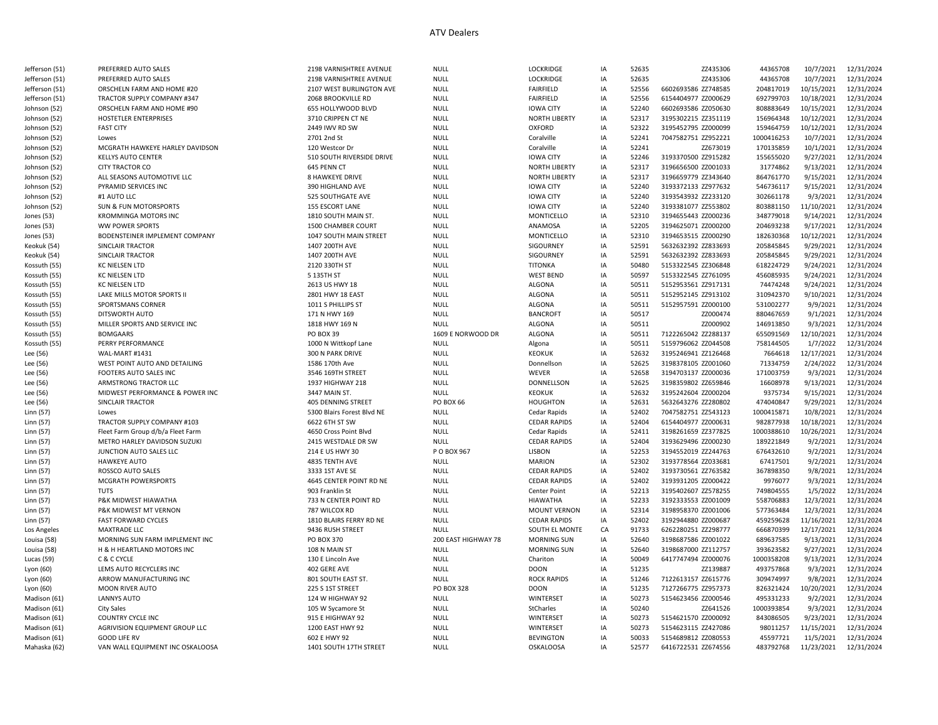| Jefferson (51) | PREFERRED AUTO SALES              | 2198 VARNISHTREE AVENUE    | <b>NULL</b>         | LOCKRIDGE            | IA | 52635 | ZZ435306            | 44365708   | 10/7/2021  | 12/31/2024 |
|----------------|-----------------------------------|----------------------------|---------------------|----------------------|----|-------|---------------------|------------|------------|------------|
| Jefferson (51) | PREFERRED AUTO SALES              | 2198 VARNISHTREE AVENUE    | <b>NULL</b>         | LOCKRIDGE            | IA | 52635 | ZZ435306            | 44365708   | 10/7/2021  | 12/31/2024 |
| Jefferson (51) | ORSCHELN FARM AND HOME #20        | 2107 WEST BURLINGTON AVE   | <b>NULL</b>         | <b>FAIRFIELD</b>     | IA | 52556 | 6602693586 ZZ748585 | 204817019  | 10/15/2021 | 12/31/2024 |
| Jefferson (51) | TRACTOR SUPPLY COMPANY #347       | 2068 BROOKVILLE RD         | <b>NULL</b>         | <b>FAIRFIELD</b>     | IA | 52556 | 6154404977 ZZ000629 | 692799703  | 10/18/2021 | 12/31/2024 |
| Johnson (52)   | ORSCHELN FARM AND HOME #90        | 655 HOLLYWOOD BLVD         | <b>NULL</b>         | <b>IOWA CITY</b>     | IA | 52240 | 6602693586 ZZ050630 | 808883649  | 10/15/2021 | 12/31/2024 |
| Johnson (52)   | <b>HOSTETLER ENTERPRISES</b>      | 3710 CRIPPEN CT NE         | <b>NULL</b>         | <b>NORTH LIBERTY</b> | IA | 52317 | 3195302215 ZZ351119 | 156964348  | 10/12/2021 | 12/31/2024 |
| Johnson (52)   | <b>FAST CITY</b>                  | 2449 IWV RD SW             | <b>NULL</b>         | <b>OXFORD</b>        | IA | 52322 | 3195452795 ZZ000099 | 159464759  | 10/12/2021 | 12/31/2024 |
| Johnson (52)   | Lowes                             | 2701 2nd St                | <b>NULL</b>         | Coralville           | IA | 52241 | 7047582751 ZZ952221 | 1000416253 | 10/7/2021  | 12/31/2024 |
| Johnson (52    | MCGRATH HAWKEYE HARLEY DAVIDSON   | 120 Westcor Dr             | <b>NULL</b>         | Coralville           | IA | 52241 | ZZ673019            | 170135859  | 10/1/2021  | 12/31/2024 |
| Johnson (52)   | <b>KELLYS AUTO CENTER</b>         | 510 SOUTH RIVERSIDE DRIVE  | <b>NULL</b>         | <b>IOWA CITY</b>     | IA | 52246 | 3193370500 ZZ915282 | 155655020  | 9/27/2021  | 12/31/2024 |
| Johnson (52    | <b>CITY TRACTOR CO</b>            | 645 PENN CT                | <b>NULL</b>         | <b>NORTH LIBERTY</b> | IA | 52317 | 3196656500 ZZ001033 | 31774862   | 9/13/2021  | 12/31/2024 |
| Johnson (52)   | ALL SEASONS AUTOMOTIVE LLC        | <b>8 HAWKEYE DRIVE</b>     | <b>NULL</b>         | <b>NORTH LIBERTY</b> | IA | 52317 | 3196659779 ZZ343640 | 864761770  | 9/15/2021  | 12/31/2024 |
|                |                                   |                            |                     |                      |    |       |                     |            |            |            |
| Johnson (52)   | PYRAMID SERVICES INC              | 390 HIGHLAND AVE           | NULL                | <b>IOWA CITY</b>     | IA | 52240 | 3193372133 ZZ977632 | 546736117  | 9/15/2021  | 12/31/2024 |
| Johnson (52)   | #1 AUTO LLC                       | 525 SOUTHGATE AVE          | NULL                | <b>IOWA CITY</b>     | IA | 52240 | 3193543932 ZZ233120 | 302661178  | 9/3/2021   | 12/31/2024 |
| Johnson (52)   | SUN & FUN MOTORSPORTS             | 155 ESCORT LANE            | <b>NULL</b>         | <b>IOWA CITY</b>     | IA | 52240 | 3193381077 ZZ553802 | 803881150  | 11/10/2021 | 12/31/2024 |
| Jones (53)     | KROMMINGA MOTORS INC              | 1810 SOUTH MAIN ST.        | <b>NULL</b>         | MONTICELLO           | IA | 52310 | 3194655443 ZZ000236 | 348779018  | 9/14/2021  | 12/31/2024 |
| Jones (53)     | WW POWER SPORTS                   | 1500 CHAMBER COURT         | <b>NULL</b>         | ANAMOSA              | IA | 52205 | 3194625071 ZZ000200 | 204693238  | 9/17/2021  | 12/31/2024 |
| Jones (53)     | BODENSTEINER IMPLEMENT COMPANY    | 1047 SOUTH MAIN STREET     | <b>NULL</b>         | MONTICELLO           | IA | 52310 | 3194653515 ZZ000290 | 182630368  | 10/12/2021 | 12/31/2024 |
| Keokuk (54)    | SINCLAIR TRACTOR                  | 1407 200TH AVE             | <b>NULL</b>         | SIGOURNEY            | IA | 52591 | 5632632392 ZZ833693 | 205845845  | 9/29/2021  | 12/31/2024 |
| Keokuk (54)    | SINCLAIR TRACTOR                  | 1407 200TH AVE             | <b>NULL</b>         | SIGOURNEY            | IA | 52591 | 5632632392 ZZ833693 | 205845845  | 9/29/2021  | 12/31/2024 |
| Kossuth (55    | KC NIELSEN LTD                    | 2120 330TH ST              | <b>NULL</b>         | <b>TITONKA</b>       | IA | 50480 | 5153322545 ZZ306848 | 618224729  | 9/24/2021  | 12/31/2024 |
| Kossuth (55)   | KC NIELSEN LTD                    | 5 135TH ST                 | <b>NULL</b>         | <b>WEST BEND</b>     | IA | 50597 | 5153322545 ZZ761095 | 456085935  | 9/24/2021  | 12/31/2024 |
| Kossuth (55)   | KC NIELSEN LTD                    | 2613 US HWY 18             | <b>NULL</b>         | <b>ALGONA</b>        | IA | 50511 | 5152953561 ZZ917131 | 74474248   | 9/24/2021  | 12/31/2024 |
| Kossuth (55)   | LAKE MILLS MOTOR SPORTS II        | 2801 HWY 18 EAST           | <b>NULL</b>         | <b>ALGONA</b>        | IA | 50511 | 5152952145 ZZ913102 | 310942370  | 9/10/2021  | 12/31/2024 |
| Kossuth (55)   | SPORTSMANS CORNER                 | 1011 S PHILLIPS ST         | <b>NULL</b>         | <b>ALGONA</b>        | IA | 50511 | 5152957591 ZZ000100 | 531002277  | 9/9/2021   | 12/31/2024 |
| Kossuth (55)   | DITSWORTH AUTO                    | 171 N HWY 169              | <b>NULL</b>         | <b>BANCROFT</b>      | IA | 50517 | ZZ000474            | 880467659  | 9/1/2021   | 12/31/2024 |
| Kossuth (55    | MILLER SPORTS AND SERVICE INC     | 1818 HWY 169 N             | <b>NULL</b>         | <b>ALGONA</b>        | IA | 50511 | ZZ000902            | 146913850  | 9/3/2021   | 12/31/2024 |
| Kossuth (55)   | <b>BOMGAARS</b>                   | PO BOX 39                  | 1609 E NORWOOD DR   | <b>ALGONA</b>        | IA | 50511 | 7122265042 ZZ288137 | 655091569  | 12/10/2021 | 12/31/2024 |
| Kossuth (55)   | PERRY PERFORMANCE                 | 1000 N Wittkopf Lane       | <b>NULL</b>         | Algona               | IA | 50511 | 5159796062 ZZ044508 | 758144505  | 1/7/2022   | 12/31/2024 |
| Lee (56)       | WAL-MART #1431                    | 300 N PARK DRIVE           | <b>NULL</b>         | <b>KEOKUK</b>        | IA | 52632 | 3195246941 ZZ126468 | 7664618    | 12/17/2021 | 12/31/2024 |
|                |                                   |                            |                     |                      | IA |       |                     | 71334759   |            |            |
| Lee (56)       | WEST POINT AUTO AND DETAILING     | 1586 170th Ave             | <b>NULL</b>         | Donnellson           |    | 52625 | 3198378105 ZZ001060 |            | 2/24/2022  | 12/31/2024 |
| Lee (56)       | FOOTERS AUTO SALES INC            | 3546 169TH STREET          | <b>NULL</b>         | WEVER                | IA | 52658 | 3194703137 ZZ000036 | 171003759  | 9/3/2021   | 12/31/2024 |
| Lee (56)       | ARMSTRONG TRACTOR LLC             | 1937 HIGHWAY 218           | <b>NULL</b>         | <b>DONNELLSON</b>    | IA | 52625 | 3198359802 ZZ659846 | 16608978   | 9/13/2021  | 12/31/2024 |
| Lee (56)       | MIDWEST PERFORMANCE & POWER INC   | 3447 MAIN ST.              | <b>NULL</b>         | <b>KEOKUK</b>        | IA | 52632 | 3195242604 ZZ000204 | 9375734    | 9/15/2021  | 12/31/2024 |
| Lee (56)       | <b>SINCLAIR TRACTOR</b>           | <b>405 DENNING STREET</b>  | <b>PO BOX 66</b>    | <b>HOUGHTON</b>      | IA | 52631 | 5632643276 ZZ280802 | 474040847  | 9/29/2021  | 12/31/2024 |
| Linn (57)      | Lowes                             | 5300 Blairs Forest Blvd NE | <b>NULL</b>         | Cedar Rapids         | IA | 52402 | 7047582751 ZZ543123 | 1000415871 | 10/8/2021  | 12/31/2024 |
| Linn (57)      | TRACTOR SUPPLY COMPANY #103       | 6622 6TH ST SW             | <b>NULL</b>         | <b>CEDAR RAPIDS</b>  | IA | 52404 | 6154404977 ZZ000631 | 982877938  | 10/18/2021 | 12/31/2024 |
| Linn (57)      | Fleet Farm Group d/b/a Fleet Farm | 4650 Cross Point Blvd      | <b>NULL</b>         | Cedar Rapids         | IA | 52411 | 3198261659 ZZ377825 | 1000388610 | 10/26/2021 | 12/31/2024 |
| Linn (57)      | METRO HARLEY DAVIDSON SUZUKI      | 2415 WESTDALE DR SW        | <b>NULL</b>         | <b>CEDAR RAPIDS</b>  | IA | 52404 | 3193629496 ZZ000230 | 189221849  | 9/2/2021   | 12/31/2024 |
| Linn (57)      | JUNCTION AUTO SALES LLC           | 214 E US HWY 30            | P O BOX 967         | <b>LISBON</b>        | IA | 52253 | 3194552019 ZZ244763 | 676432610  | 9/2/2021   | 12/31/2024 |
| Linn (57)      | <b>HAWKEYE AUTO</b>               | 4835 TENTH AVE             | <b>NULL</b>         | <b>MARION</b>        | IA | 52302 | 3193778564 ZZ033681 | 67417501   | 9/2/2021   | 12/31/2024 |
| Linn (57)      | ROSSCO AUTO SALES                 | 3333 1ST AVE SE            | <b>NULL</b>         | <b>CEDAR RAPIDS</b>  | IA | 52402 | 3193730561 ZZ763582 | 367898350  | 9/8/2021   | 12/31/2024 |
| Linn (57)      | <b>MCGRATH POWERSPORTS</b>        | 4645 CENTER POINT RD NE    | <b>NULL</b>         | <b>CEDAR RAPIDS</b>  | IA | 52402 | 3193931205 ZZ000422 | 9976077    | 9/3/2021   | 12/31/2024 |
| Linn (57)      | <b>TUTS</b>                       | 903 Franklin St            | <b>NULL</b>         | Center Point         | IA | 52213 | 3195402607 ZZ578255 | 749804555  | 1/5/2022   | 12/31/2024 |
| Linn (57)      | P&K MIDWEST HIAWATHA              | 733 N CENTER POINT RD      | <b>NULL</b>         | <b>HIAWATHA</b>      | IA | 52233 | 3192333553 ZZ001009 | 558706883  | 12/3/2021  | 12/31/2024 |
| Linn (57)      | P&K MIDWEST MT VERNON             | 787 WILCOX RD              | <b>NULL</b>         | <b>MOUNT VERNON</b>  | IA | 52314 | 3198958370 ZZ001006 | 577363484  | 12/3/2021  | 12/31/2024 |
| Linn (57)      | <b>FAST FORWARD CYCLES</b>        | 1810 BLAIRS FERRY RD NE    | <b>NULL</b>         | <b>CEDAR RAPIDS</b>  | IA | 52402 | 3192944880 ZZ000687 | 459259628  | 11/16/2021 | 12/31/2024 |
| Los Angeles    | <b>MAXTRADE LLC</b>               | 9436 RUSH STREET           | <b>NULL</b>         | SOUTH EL MONTE       | CA | 91733 | 6262280251 ZZ298777 | 666870399  | 12/17/2021 | 12/31/2024 |
|                | MORNING SUN FARM IMPLEMENT INC    | PO BOX 370                 | 200 EAST HIGHWAY 78 | <b>MORNING SUN</b>   | IA | 52640 | 3198687586 ZZ001022 | 689637585  | 9/13/2021  | 12/31/2024 |
| Louisa (58)    |                                   |                            |                     |                      |    |       |                     |            |            |            |
| Louisa (58)    | H & H HEARTLAND MOTORS INC        | 108 N MAIN ST              | NULL                | <b>MORNING SUN</b>   | IA | 52640 | 3198687000 ZZ112757 | 393623582  | 9/27/2021  | 12/31/2024 |
| Lucas (59)     | C & C CYCLE                       | 130 E Lincoln Ave          | NULL                | Chariton             | IA | 50049 | 6417747494 ZZ000076 | 1000358208 | 9/13/2021  | 12/31/2024 |
| Lyon (60)      | LEMS AUTO RECYCLERS INC           | 402 GERE AVE               | <b>NULL</b>         | <b>DOON</b>          | IA | 51235 | ZZ139887            | 493757868  | 9/3/2021   | 12/31/2024 |
| Lyon (60)      | ARROW MANUFACTURING INC           | 801 SOUTH EAST ST.         | <b>NULL</b>         | <b>ROCK RAPIDS</b>   | IA | 51246 | 7122613157 ZZ615776 | 309474997  | 9/8/2021   | 12/31/2024 |
| Lyon (60)      | <b>MOON RIVER AUTO</b>            | 225 S 1ST STREET           | <b>PO BOX 328</b>   | <b>DOON</b>          | IA | 51235 | 7127266775 ZZ957373 | 826321424  | 10/20/2021 | 12/31/2024 |
| Madison (61)   | LANNYS AUTO                       | 124 W HIGHWAY 92           | <b>NULL</b>         | WINTERSET            | IA | 50273 | 5154623456 ZZ000546 | 495331233  | 9/2/2021   | 12/31/2024 |
| Madison (61)   | <b>City Sales</b>                 | 105 W Sycamore St          | <b>NULL</b>         | StCharles            | IA | 50240 | ZZ641526            | 1000393854 | 9/3/2021   | 12/31/2024 |
| Madison (61)   | COUNTRY CYCLE INC                 | 915 E HIGHWAY 92           | <b>NULL</b>         | WINTERSET            | IA | 50273 | 5154621570 ZZ000092 | 843086505  | 9/23/2021  | 12/31/2024 |
| Madison (61)   | AGRIVISION EQUIPMENT GROUP LLC    | 1200 EAST HWY 92           | <b>NULL</b>         | WINTERSET            | IA | 50273 | 5154623115 ZZ427086 | 98011257   | 11/15/2021 | 12/31/2024 |
| Madison (61)   | <b>GOOD LIFE RV</b>               | 602 E HWY 92               | <b>NULL</b>         | <b>BEVINGTON</b>     | IA | 50033 | 5154689812 ZZ080553 | 45597721   | 11/5/2021  | 12/31/2024 |
| Mahaska (62)   | VAN WALL EQUIPMENT INC OSKALOOSA  | 1401 SOUTH 17TH STREET     | <b>NULL</b>         | <b>OSKALOOSA</b>     | IA | 52577 | 6416722531 ZZ674556 | 483792768  | 11/23/2021 | 12/31/2024 |
|                |                                   |                            |                     |                      |    |       |                     |            |            |            |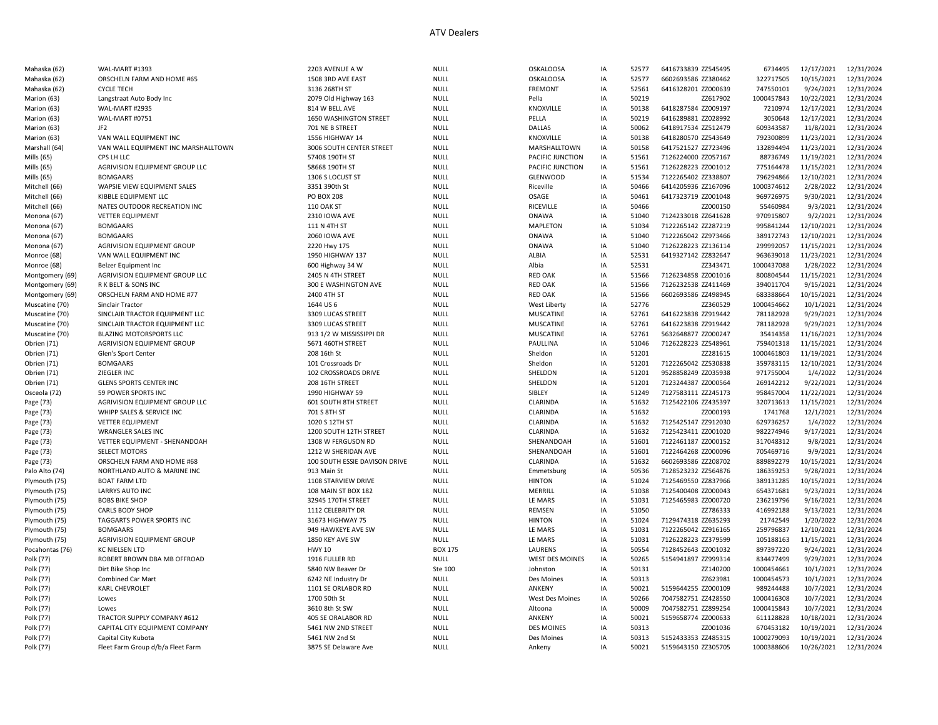| Mahaska (62)    | WAL-MART #1393                      | 2203 AVENUE A W               | <b>NULL</b>    | <b>OSKALOOSA</b>       | IA | 52577 | 6416733839 ZZ545495 | 6734495    | 12/17/2021 | 12/31/2024 |
|-----------------|-------------------------------------|-------------------------------|----------------|------------------------|----|-------|---------------------|------------|------------|------------|
| Mahaska (62)    | ORSCHELN FARM AND HOME #65          | 1508 3RD AVE EAST             | <b>NULL</b>    | <b>OSKALOOSA</b>       | IA | 52577 | 6602693586 ZZ380462 | 322717505  | 10/15/2021 | 12/31/2024 |
| Mahaska (62)    | <b>CYCLE TECH</b>                   | 3136 268TH ST                 | NULL           | <b>FREMONT</b>         | IA | 52561 | 6416328201 ZZ000639 | 747550101  | 9/24/2021  | 12/31/2024 |
| Marion (63)     | Langstraat Auto Body Inc            | 2079 Old Highway 163          | <b>NULL</b>    | Pella                  | IA | 50219 | ZZ617902            | 1000457843 | 10/22/2021 | 12/31/2024 |
| Marion (63)     | WAL-MART #2935                      | 814 W BELL AVE                | <b>NULL</b>    | KNOXVILLE              | IA | 50138 | 6418287584 ZZ009197 | 7210974    | 12/17/2021 | 12/31/2024 |
| Marion (63)     | WAL-MART #0751                      | 1650 WASHINGTON STREET        | <b>NULL</b>    | PELLA                  | IA | 50219 | 6416289881 ZZ028992 | 3050648    | 12/17/2021 | 12/31/2024 |
| Marion (63)     | JF <sub>2</sub>                     | 701 NE B STREET               | <b>NULL</b>    | <b>DALLAS</b>          | IA | 50062 | 6418917534 ZZ512479 | 609343587  | 11/8/2021  | 12/31/2024 |
| Marion (63)     | VAN WALL EQUIPMENT INC              | 1556 HIGHWAY 14               | <b>NULL</b>    | KNOXVILLE              | IA | 50138 | 6418280570 ZZ543649 | 792300899  | 11/23/2021 | 12/31/2024 |
| Marshall (64)   | VAN WALL EQUIPMENT INC MARSHALLTOWN | 3006 SOUTH CENTER STREET      | <b>NULL</b>    | MARSHALLTOWN           | IA | 50158 | 6417521527 ZZ723496 | 132894494  | 11/23/2021 | 12/31/2024 |
| Mills (65)      | CPS LH LLC                          | 57408 190TH ST                | <b>NULL</b>    | PACIFIC JUNCTION       | IA | 51561 | 7126224000 ZZ057167 | 88736749   | 11/19/2021 | 12/31/2024 |
| Mills (65)      | AGRIVISION EQUIPMENT GROUP LLC      | 58668 190TH ST                | <b>NULL</b>    | PACIFIC JUNCTION       | IA | 51561 | 7126228223 ZZ001012 | 775164478  | 11/15/2021 | 12/31/2024 |
| Mills (65)      | <b>BOMGAARS</b>                     | 1306 S LOCUST ST              | <b>NULL</b>    | <b>GLENWOOD</b>        | IA | 51534 | 7122265402 ZZ338807 | 796294866  | 12/10/2021 | 12/31/2024 |
| Mitchell (66)   | WAPSIE VIEW EQUIPMENT SALES         | 3351 390th St                 | <b>NULL</b>    | Riceville              | IA | 50466 | 6414205936 ZZ167096 | 1000374612 | 2/28/2022  | 12/31/2024 |
| Mitchell (66)   | KIBBLE EQUIPMENT LLC                | <b>PO BOX 208</b>             | <b>NULL</b>    | OSAGE                  | IA | 50461 | 6417323719 ZZ001048 | 969726975  | 9/30/2021  | 12/31/2024 |
| Mitchell (66)   | NATES OUTDOOR RECREATION INC        | <b>110 OAK ST</b>             | <b>NULL</b>    | RICEVILLE              | IA | 50466 | ZZ000150            | 55460984   | 9/3/2021   | 12/31/2024 |
| Monona (67)     | <b>VETTER EQUIPMENT</b>             | 2310 IOWA AVE                 | <b>NULL</b>    | <b>ONAWA</b>           | IA | 51040 | 7124233018 ZZ641628 | 970915807  | 9/2/2021   | 12/31/2024 |
| Monona (67)     | <b>BOMGAARS</b>                     | 111 N 4TH ST                  | <b>NULL</b>    | <b>MAPLETON</b>        | IA | 51034 | 7122265142 ZZ287219 | 995841244  | 12/10/2021 | 12/31/2024 |
| Monona (67)     | <b>BOMGAARS</b>                     | 2060 IOWA AVE                 | <b>NULL</b>    | ONAWA                  | IA | 51040 | 7122265042 ZZ973466 | 389172743  | 12/10/2021 | 12/31/2024 |
| Monona (67)     | AGRIVISION EQUIPMENT GROUP          | 2220 Hwy 175                  | <b>NULL</b>    | ONAWA                  | IA | 51040 | 7126228223 ZZ136114 | 299992057  | 11/15/2021 | 12/31/2024 |
| Monroe (68)     | VAN WALL EQUIPMENT INC              | 1950 HIGHWAY 137              | <b>NULL</b>    | ALBIA                  | IA | 52531 | 6419327142 ZZ832647 | 963639018  | 11/23/2021 | 12/31/2024 |
| Monroe (68)     | Belzer Equipment Inc                | 600 Highway 34 W              | <b>NULL</b>    | Albia                  | IA | 52531 | ZZ343471            | 1000437088 | 1/28/2022  | 12/31/2024 |
| Montgomery (69) | AGRIVISION EQUIPMENT GROUP LLC      | 2405 N 4TH STREET             | <b>NULL</b>    | <b>RED OAK</b>         | IA | 51566 | 7126234858 ZZ001016 | 800804544  | 11/15/2021 | 12/31/2024 |
| Montgomery (69) | R K BELT & SONS INC                 | 300 E WASHINGTON AVE          | <b>NULL</b>    | <b>RED OAK</b>         | IA | 51566 | 7126232538 ZZ411469 | 394011704  | 9/15/2021  | 12/31/2024 |
| Montgomery (69) | ORSCHELN FARM AND HOME #77          | 2400 4TH ST                   | NULL           | <b>RED OAK</b>         | IA | 51566 | 6602693586 ZZ498945 | 683388664  | 10/15/2021 | 12/31/2024 |
| Muscatine (70)  | Sinclair Tractor                    | 1644 US6                      | <b>NULL</b>    | <b>West Liberty</b>    | IA | 52776 | ZZ360529            | 1000454662 | 10/1/2021  | 12/31/2024 |
| Muscatine (70)  | SINCLAIR TRACTOR EQUIPMENT LLC      | 3309 LUCAS STREET             | <b>NULL</b>    | <b>MUSCATINE</b>       | IA | 52761 | 6416223838 ZZ919442 | 781182928  | 9/29/2021  | 12/31/2024 |
| Muscatine (70)  | SINCLAIR TRACTOR EQUIPMENT LLC      | 3309 LUCAS STREET             | <b>NULL</b>    | <b>MUSCATINE</b>       | IA | 52761 | 6416223838 ZZ919442 | 781182928  | 9/29/2021  | 12/31/2024 |
| Muscatine (70)  | <b>BLAZING MOTORSPORTS LLC</b>      | 913 1/2 W MISSISSIPPI DR      | NULL           | <b>MUSCATINE</b>       | IA | 52761 | 5632648877 ZZ000247 | 35414358   | 11/16/2021 | 12/31/2024 |
| Obrien (71)     | AGRIVISION EQUIPMENT GROUP          | 5671 460TH STREET             | <b>NULL</b>    | PAULLINA               | IA | 51046 | 7126228223 ZZ548961 | 759401318  | 11/15/2021 | 12/31/2024 |
| Obrien (71)     | Glen's Sport Center                 | 208 16th St                   | <b>NULL</b>    | Sheldon                | IA | 51201 | ZZ281615            | 1000461803 | 11/19/2021 | 12/31/2024 |
| Obrien (71)     | <b>BOMGAARS</b>                     | 101 Crossroads Dr             | <b>NULL</b>    | Sheldon                | IA | 51201 | 7122265042 ZZ530838 | 359783115  | 12/10/2021 | 12/31/2024 |
| Obrien (71)     | ZIEGLER INC                         | 102 CROSSROADS DRIVE          | <b>NULL</b>    | SHELDON                | IA | 51201 | 9528858249 ZZ035938 | 971755004  | 1/4/2022   | 12/31/2024 |
| Obrien (71)     | <b>GLENS SPORTS CENTER INC</b>      | 208 16TH STREET               | <b>NULL</b>    | SHELDON                | IA | 51201 | 7123244387 ZZ000564 | 269142212  | 9/22/2021  | 12/31/2024 |
| Osceola (72)    | 59 POWER SPORTS INC                 | <b>1990 HIGHWAY 59</b>        | <b>NULL</b>    | SIBLEY                 | IA | 51249 | 7127583111 ZZ245173 | 958457004  | 11/22/2021 | 12/31/2024 |
| Page (73)       | AGRIVISION EQUIPMENT GROUP LLC      | 601 SOUTH 8TH STREET          | <b>NULL</b>    | CLARINDA               | IA | 51632 | 7125422106 ZZ435397 | 320713613  | 11/15/2021 | 12/31/2024 |
| Page (73)       | WHIPP SALES & SERVICE INC           | 701 S 8TH ST                  | <b>NULL</b>    | CLARINDA               | IA | 51632 | ZZ000193            | 1741768    | 12/1/2021  | 12/31/2024 |
| Page (73)       | <b>VETTER EQUIPMENT</b>             | 1020 S 12TH ST                | <b>NULL</b>    | CLARINDA               | IA | 51632 | 7125425147 ZZ912030 | 629736257  | 1/4/2022   | 12/31/2024 |
| Page (73)       | <b>WRANGLER SALES INC</b>           | 1200 SOUTH 12TH STREET        | <b>NULL</b>    | CLARINDA               | IA | 51632 | 7125423411 ZZ001020 | 982274946  | 9/17/2021  | 12/31/2024 |
| Page (73)       | VETTER EQUIPMENT - SHENANDOAH       | 1308 W FERGUSON RD            | <b>NULL</b>    | SHENANDOAH             | IA | 51601 | 7122461187 ZZ000152 | 317048312  | 9/8/2021   | 12/31/2024 |
| Page (73)       | <b>SELECT MOTORS</b>                | 1212 W SHERIDAN AVE           | <b>NULL</b>    | SHENANDOAH             | IA | 51601 | 7122464268 ZZ000096 | 705469716  | 9/9/2021   | 12/31/2024 |
| Page (73)       | ORSCHELN FARM AND HOME #68          | 100 SOUTH ESSIE DAVISON DRIVE | <b>NULL</b>    | CLARINDA               | IA | 51632 | 6602693586 ZZ208702 | 889892279  | 10/15/2021 | 12/31/2024 |
| Palo Alto (74)  | NORTHLAND AUTO & MARINE INC         | 913 Main St                   | <b>NULL</b>    | Emmetsburg             | IA | 50536 | 7128523232 ZZ564876 | 186359253  | 9/28/2021  | 12/31/2024 |
| Plymouth (75)   | <b>BOAT FARM LTD</b>                | 1108 STARVIEW DRIVE           | <b>NULL</b>    | <b>HINTON</b>          | IA | 51024 | 7125469550 ZZ837966 | 389131285  | 10/15/2021 | 12/31/2024 |
| Plymouth (75)   | <b>LARRYS AUTO INC</b>              | 108 MAIN ST BOX 182           | <b>NULL</b>    | MERRILL                | IA | 51038 | 7125400408 ZZ000043 | 654371681  | 9/23/2021  | 12/31/2024 |
| Plymouth (75)   | <b>BOBS BIKE SHOP</b>               | 32945 170TH STREET            | <b>NULL</b>    | LE MARS                | IA | 51031 | 7125465983 ZZ000720 | 236219796  | 9/16/2021  | 12/31/2024 |
| Plymouth (75)   | CARLS BODY SHOP                     | 1112 CELEBRITY DR             | <b>NULL</b>    | REMSEN                 | IA | 51050 | ZZ786333            | 416992188  | 9/13/2021  | 12/31/2024 |
| Plymouth (75)   | TAGGARTS POWER SPORTS INC           | 31673 HIGHWAY 75              | <b>NULL</b>    | <b>HINTON</b>          | IA | 51024 | 7129474318 ZZ635293 | 21742549   | 1/20/2022  | 12/31/2024 |
| Plymouth (75)   | <b>BOMGAARS</b>                     | 949 HAWKEYE AVE SW            | <b>NULL</b>    | LE MARS                | IA | 51031 | 7122265042 ZZ916165 | 259796837  | 12/10/2021 | 12/31/2024 |
| Plymouth (75)   | AGRIVISION EQUIPMENT GROUP          | 1850 KEY AVE SW               | <b>NULL</b>    | LE MARS                | IA | 51031 | 7126228223 ZZ379599 | 105188163  | 11/15/2021 | 12/31/2024 |
| Pocahontas (76) | <b>KC NIELSEN LTD</b>               | <b>HWY 10</b>                 | <b>BOX 175</b> | LAURENS                | IA | 50554 | 7128452643 ZZ001032 | 897397220  | 9/24/2021  | 12/31/2024 |
| Polk (77)       | ROBERT BROWN DBA MB OFFROAD         | 1916 FULLER RD                | <b>NULL</b>    | <b>WEST DES MOINES</b> | IA | 50265 | 5154941897 ZZ999314 | 834477499  | 9/29/2021  | 12/31/2024 |
| Polk (77)       | Dirt Bike Shop Inc                  | 5840 NW Beaver Dr             | Ste 100        | Johnston               | IA | 50131 | ZZ140200            | 1000454661 | 10/1/2021  | 12/31/2024 |
| Polk (77)       | <b>Combined Car Mart</b>            | 6242 NE Industry Dr           | NULL           | Des Moines             | IA | 50313 | ZZ623981            | 1000454573 | 10/1/2021  | 12/31/2024 |
| Polk (77)       | KARL CHEVROLET                      | 1101 SE ORLABOR RD            | <b>NULL</b>    | ANKENY                 | IA | 50021 | 5159644255 ZZ000109 | 989244488  | 10/7/2021  | 12/31/2024 |
| Polk (77)       | Lowes                               | 1700 50th St                  | <b>NULL</b>    | West Des Moines        | IA | 50266 | 7047582751 ZZ428550 | 1000416308 | 10/7/2021  | 12/31/2024 |
| Polk (77)       | Lowes                               | 3610 8th St SW                | <b>NULL</b>    | Altoona                | IA | 50009 | 7047582751 ZZ899254 | 1000415843 | 10/7/2021  | 12/31/2024 |
| Polk (77)       | TRACTOR SUPPLY COMPANY #612         | 405 SE ORALABOR RD            | <b>NULL</b>    | ANKENY                 | IA | 50021 | 5159658774 ZZ000633 | 611128828  | 10/18/2021 | 12/31/2024 |
| Polk (77)       | CAPITAL CITY EQUIPMENT COMPANY      | 5461 NW 2ND STREET            | <b>NULL</b>    | <b>DES MOINES</b>      | IA | 50313 | ZZ001036            | 670453182  | 10/19/2021 | 12/31/2024 |
| Polk (77)       | Capital City Kubota                 | 5461 NW 2nd St                | <b>NULL</b>    | Des Moines             | IA | 50313 | 5152433353 ZZ485315 | 1000279093 | 10/19/2021 | 12/31/2024 |
| Polk (77)       | Fleet Farm Group d/b/a Fleet Farm   | 3875 SE Delaware Ave          | <b>NULL</b>    | Ankenv                 | IA | 50021 | 5159643150 ZZ305705 | 1000388606 | 10/26/2021 | 12/31/2024 |
|                 |                                     |                               |                |                        |    |       |                     |            |            |            |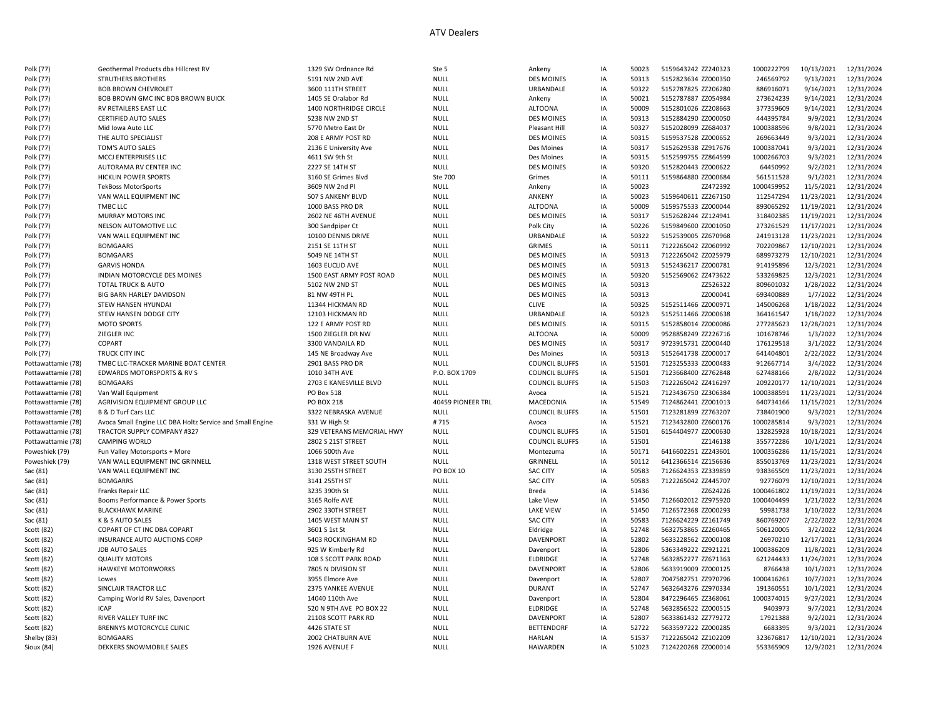| Polk (77)          | Geothermal Products dba Hillcrest RV                      | 1329 SW Ordnance Rd       | Ste 5             | Ankeny                | IA | 50023 | 5159643242 ZZ240323 | 1000222799 | 10/13/2021 | 12/31/2024 |
|--------------------|-----------------------------------------------------------|---------------------------|-------------------|-----------------------|----|-------|---------------------|------------|------------|------------|
| Polk (77)          | STRUTHERS BROTHERS                                        | 5191 NW 2ND AVE           | <b>NULL</b>       | <b>DES MOINES</b>     | IA | 50313 | 5152823634 ZZ000350 | 246569792  | 9/13/2021  | 12/31/2024 |
| Polk (77)          | <b>BOB BROWN CHEVROLET</b>                                | 3600 111TH STREET         | <b>NULL</b>       | URBANDALE             | IA | 50322 | 5152787825 ZZ206280 | 886916071  | 9/14/2021  | 12/31/2024 |
| Polk (77)          | BOB BROWN GMC INC BOB BROWN BUICK                         | 1405 SE Oralabor Rd       | <b>NULL</b>       | Ankeny                | IA | 50021 | 5152787887 ZZ054984 | 273624239  | 9/14/2021  | 12/31/2024 |
| Polk (77)          | <b>RV RETAILERS EAST LLC</b>                              | 1400 NORTHRIDGE CIRCLE    | <b>NULL</b>       | <b>ALTOONA</b>        | IA | 50009 | 5152801026 ZZ208663 | 377359609  | 9/14/2021  | 12/31/2024 |
| Polk (77)          | <b>CERTIFIED AUTO SALES</b>                               | 5238 NW 2ND ST            | <b>NULL</b>       | <b>DES MOINES</b>     | IA | 50313 | 5152884290 ZZ000050 | 444395784  | 9/9/2021   | 12/31/2024 |
| Polk (77)          | Mid Iowa Auto LLC                                         | 5770 Metro East Dr        | <b>NULL</b>       | Pleasant Hill         | IA | 50327 | 5152028099 ZZ684037 | 1000388596 | 9/8/2021   | 12/31/2024 |
| Polk (77)          | THE AUTO SPECIALIST                                       | 208 E ARMY POST RD        | <b>NULL</b>       | <b>DES MOINES</b>     | IA | 50315 | 5159537528 ZZ000652 | 269663449  | 9/3/2021   | 12/31/2024 |
| Polk (77)          | TOM'S AUTO SALES                                          | 2136 E University Ave     | <b>NULL</b>       | Des Moines            | IA | 50317 | 5152629538 ZZ917676 | 1000387041 | 9/3/2021   | 12/31/2024 |
| Polk (77)          | MCCJ ENTERPRISES LLC                                      | 4611 SW 9th St            | <b>NULL</b>       | Des Moines            | IA | 50315 | 5152599755 ZZ864599 | 1000266703 | 9/3/2021   | 12/31/2024 |
|                    |                                                           |                           |                   |                       |    |       |                     |            |            |            |
| Polk (77)          | AUTORAMA RV CENTER INC                                    | 2227 SE 14TH ST           | <b>NULL</b>       | <b>DES MOINES</b>     | IA | 50320 | 5152820443 ZZ000622 | 64450992   | 9/2/2021   | 12/31/2024 |
| Polk (77)          | <b>HICKLIN POWER SPORTS</b>                               | 3160 SE Grimes Blvd       | Ste 700           | Grimes                | IA | 50111 | 5159864880 ZZ000684 | 561511528  | 9/1/2021   | 12/31/2024 |
| Polk (77)          | <b>TekBoss MotorSports</b>                                | 3609 NW 2nd Pl            | <b>NULL</b>       | Ankeny                | IA | 50023 | ZZ472392            | 1000459952 | 11/5/2021  | 12/31/2024 |
| Polk (77)          | VAN WALL EQUIPMENT INC                                    | 507 S ANKENY BLVD         | <b>NULL</b>       | ANKENY                | IA | 50023 | 5159640611 ZZ267150 | 112547294  | 11/23/2021 | 12/31/2024 |
| Polk (77)          | TMBC LLC                                                  | 1000 BASS PRO DR          | <b>NULL</b>       | <b>ALTOONA</b>        | IA | 50009 | 5159575533 ZZ000044 | 893065292  | 11/19/2021 | 12/31/2024 |
| Polk (77)          | MURRAY MOTORS INC                                         | 2602 NE 46TH AVENUE       | <b>NULL</b>       | <b>DES MOINES</b>     | IA | 50317 | 5152628244 ZZ124941 | 318402385  | 11/19/2021 | 12/31/2024 |
| Polk (77)          | NELSON AUTOMOTIVE LLC                                     | 300 Sandpiper Ct          | <b>NULL</b>       | Polk City             | IA | 50226 | 5159849600 ZZ001050 | 273261529  | 11/17/2021 | 12/31/2024 |
| Polk (77)          | VAN WALL EQUIPMENT INC                                    | 10100 DENNIS DRIVE        | <b>NULL</b>       | URBANDALE             | IA | 50322 | 5152539005 ZZ670968 | 241913128  | 11/23/2021 | 12/31/2024 |
| Polk (77)          | <b>BOMGAARS</b>                                           | 2151 SE 11TH ST           | <b>NULL</b>       | <b>GRIMES</b>         | IA | 50111 | 7122265042 ZZ060992 | 702209867  | 12/10/2021 | 12/31/2024 |
| Polk (77)          | <b>BOMGAARS</b>                                           | 5049 NE 14TH ST           | <b>NULL</b>       | <b>DES MOINES</b>     | IA | 50313 | 7122265042 ZZ025979 | 689973279  | 12/10/2021 | 12/31/2024 |
| Polk (77)          | <b>GARVIS HONDA</b>                                       | 1603 EUCLID AVE           | <b>NULL</b>       | <b>DES MOINES</b>     | IA | 50313 | 5152436217 ZZ000781 | 914195896  | 12/3/2021  | 12/31/2024 |
| Polk (77)          | INDIAN MOTORCYCLE DES MOINES                              | 1500 EAST ARMY POST ROAD  | <b>NULL</b>       | <b>DES MOINES</b>     | IA | 50320 | 5152569062 ZZ473622 | 533269825  | 12/3/2021  | 12/31/2024 |
| Polk (77)          | TOTAL TRUCK & AUTO                                        | 5102 NW 2ND ST            | <b>NULL</b>       | <b>DES MOINES</b>     | IA | 50313 | ZZ526322            | 809601032  | 1/28/2022  | 12/31/2024 |
| Polk (77)          | <b>BIG BARN HARLEY DAVIDSON</b>                           | 81 NW 49TH PL             | <b>NULL</b>       | <b>DES MOINES</b>     | IA | 50313 | ZZ000041            | 693400889  | 1/7/2022   | 12/31/2024 |
| Polk (77)          | STEW HANSEN HYUNDAI                                       | 11344 HICKMAN RD          | <b>NULL</b>       | <b>CLIVE</b>          | IA | 50325 | 5152511466 ZZ000971 | 145006268  | 1/18/2022  | 12/31/2024 |
| Polk (77)          | STEW HANSEN DODGE CITY                                    | 12103 HICKMAN RD          | <b>NULL</b>       | URBANDALE             | IA | 50323 | 5152511466 ZZ000638 | 364161547  | 1/18/2022  | 12/31/2024 |
| Polk (77)          | <b>MOTO SPORTS</b>                                        | 122 E ARMY POST RD        | NULL              | <b>DES MOINES</b>     | IA | 50315 | 5152858014 ZZ000086 | 277285623  | 12/28/2021 | 12/31/2024 |
|                    | ZIEGLER INC                                               |                           |                   | <b>ALTOONA</b>        | IA | 50009 | 9528858249 ZZ226716 |            |            | 12/31/2024 |
| Polk (77)          |                                                           | 1500 ZIEGLER DR NW        | NULL              |                       |    |       |                     | 101678746  | 1/3/2022   |            |
| Polk (77)          | <b>COPART</b>                                             | 3300 VANDAILA RD          | <b>NULL</b>       | <b>DES MOINES</b>     | IA | 50317 | 9723915731 ZZ000440 | 176129518  | 3/1/2022   | 12/31/2024 |
| Polk (77)          | TRUCK CITY INC                                            | 145 NE Broadway Ave       | NULL              | Des Moines            | IA | 50313 | 5152641738 ZZ000017 | 641404801  | 2/22/2022  | 12/31/2024 |
| Pottawattamie (78) | TMBC LLC-TRACKER MARINE BOAT CENTER                       | 2901 BASS PRO DR          | <b>NULL</b>       | <b>COUNCIL BLUFFS</b> | IA | 51501 | 7123255333 ZZ000483 | 912667714  | 3/4/2022   | 12/31/2024 |
| Pottawattamie (78) | EDWARDS MOTORSPORTS & RV S                                | 1010 34TH AVE             | P.O. BOX 1709     | <b>COUNCIL BLUFFS</b> | IA | 51501 | 7123668400 ZZ762848 | 627488166  | 2/8/2022   | 12/31/2024 |
| Pottawattamie (78) | <b>BOMGAARS</b>                                           | 2703 E KANESVILLE BLVD    | <b>NULL</b>       | <b>COUNCIL BLUFFS</b> | IA | 51503 | 7122265042 ZZ416297 | 209220177  | 12/10/2021 | 12/31/2024 |
| Pottawattamie (78) | Van Wall Equipment                                        | PO Box 518                | <b>NULL</b>       | Avoca                 | IA | 51521 | 7123436750 ZZ306384 | 1000388591 | 11/23/2021 | 12/31/2024 |
| Pottawattamie (78) | AGRIVISION EQUIPMENT GROUP LLC                            | PO BOX 218                | 40459 PIONEER TRL | MACEDONIA             | IA | 51549 | 7124862441 ZZ001013 | 640734166  | 11/15/2021 | 12/31/2024 |
| Pottawattamie (78) | <b>B &amp; D Turf Cars LLC</b>                            | 3322 NEBRASKA AVENUE      | <b>NULL</b>       | <b>COUNCIL BLUFFS</b> | IA | 51501 | 7123281899 ZZ763207 | 738401900  | 9/3/2021   | 12/31/2024 |
| Pottawattamie (78) | Avoca Small Engine LLC DBA Holtz Service and Small Engine | 331 W High St             | #715              | Avoca                 | IA | 51521 | 7123432800 ZZ600176 | 1000285814 | 9/3/2021   | 12/31/2024 |
| Pottawattamie (78) | TRACTOR SUPPLY COMPANY #327                               | 329 VETERANS MEMORIAL HWY | <b>NULL</b>       | <b>COUNCIL BLUFFS</b> | IA | 51501 | 6154404977 ZZ000630 | 132825928  | 10/18/2021 | 12/31/2024 |
| Pottawattamie (78) | <b>CAMPING WORLD</b>                                      | 2802 S 21ST STREET        | <b>NULL</b>       | <b>COUNCIL BLUFFS</b> | IA | 51501 | ZZ146138            | 355772286  | 10/1/2021  | 12/31/2024 |
| Poweshiek (79)     | Fun Valley Motorsports + More                             | 1066 500th Ave            | <b>NULL</b>       | Montezuma             | IA | 50171 | 6416602251 ZZ243601 | 1000356286 | 11/15/2021 | 12/31/2024 |
| Poweshiek (79)     | VAN WALL EQUIPMENT INC GRINNELL                           | 1318 WEST STREET SOUTH    | NULL              | GRINNELL              | IA | 50112 | 6412366514 ZZ156636 | 855013769  | 11/23/2021 | 12/31/2024 |
| Sac (81)           | VAN WALL EQUIPMENT INC                                    | 3130 255TH STREET         | <b>PO BOX 10</b>  | <b>SAC CITY</b>       | IA | 50583 | 7126624353 ZZ339859 | 938365509  | 11/23/2021 | 12/31/2024 |
| Sac (81)           | <b>BOMGARRS</b>                                           | 3141 255TH ST             | <b>NULL</b>       | <b>SAC CITY</b>       | IA | 50583 | 7122265042 ZZ445707 | 92776079   | 12/10/2021 | 12/31/2024 |
| Sac (81)           | Franks Repair LLC                                         | 3235 390th St             | <b>NULL</b>       | Breda                 | IA | 51436 | ZZ624226            | 1000461802 | 11/19/2021 | 12/31/2024 |
| Sac (81)           | Booms Performance & Power Sports                          | 3165 Rolfe AVE            | NULL              | Lake View             | IA | 51450 | 7126602012 ZZ975920 | 1000404499 | 1/21/2022  | 12/31/2024 |
| Sac (81)           | <b>BLACKHAWK MARINE</b>                                   | 2902 330TH STREET         | <b>NULL</b>       | <b>LAKE VIEW</b>      | IA | 51450 | 7126572368 ZZ000293 | 59981738   | 1/10/2022  | 12/31/2024 |
|                    | K & S AUTO SALES                                          | 1405 WEST MAIN ST         |                   | <b>SAC CITY</b>       | IA | 50583 | 7126624229 ZZ161749 | 860769207  |            | 12/31/2024 |
| Sac (81)           |                                                           |                           | NULL              |                       |    |       |                     |            | 2/22/2022  |            |
| Scott (82)         | COPART OF CT INC DBA COPART                               | 3601 S 1st St             | <b>NULL</b>       | Eldridge              | IA | 52748 | 5632753865 ZZ260465 | 506120005  | 3/2/2022   | 12/31/2024 |
| Scott (82)         | INSURANCE AUTO AUCTIONS CORP                              | 5403 ROCKINGHAM RD        | <b>NULL</b>       | DAVENPORT             | IA | 52802 | 5633228562 ZZ000108 | 26970210   | 12/17/2021 | 12/31/2024 |
| Scott (82)         | <b>JDB AUTO SALES</b>                                     | 925 W Kimberly Rd         | <b>NULL</b>       | Davenport             | IA | 52806 | 5363349222 ZZ921221 | 1000386209 | 11/8/2021  | 12/31/2024 |
| Scott (82)         | <b>QUALITY MOTORS</b>                                     | 108 S SCOTT PARK ROAD     | NULL              | <b>ELDRIDGE</b>       | IA | 52748 | 5632852277 ZZ671363 | 621244433  | 11/24/2021 | 12/31/2024 |
| Scott (82)         | <b>HAWKEYE MOTORWORKS</b>                                 | 7805 N DIVISION ST        | NULL              | DAVENPORT             | IA | 52806 | 5633919009 ZZ000125 | 8766438    | 10/1/2021  | 12/31/2024 |
| Scott (82)         | Lowes                                                     | 3955 Elmore Ave           | <b>NULL</b>       | Davenport             | IA | 52807 | 7047582751 ZZ970796 | 1000416261 | 10/7/2021  | 12/31/2024 |
| Scott (82)         | SINCLAIR TRACTOR LLC                                      | 2375 YANKEE AVENUE        | <b>NULL</b>       | <b>DURANT</b>         | IA | 52747 | 5632643276 ZZ970334 | 191360551  | 10/1/2021  | 12/31/2024 |
| Scott (82)         | Camping World RV Sales, Davenport                         | 14040 110th Ave           | NULL              | Davenport             | IA | 52804 | 8472296465 ZZ368061 | 1000374015 | 9/27/2021  | 12/31/2024 |
| Scott (82)         | <b>ICAP</b>                                               | 520 N 9TH AVE PO BOX 22   | NULL              | <b>ELDRIDGE</b>       | IA | 52748 | 5632856522 ZZ000515 | 9403973    | 9/7/2021   | 12/31/2024 |
| Scott (82)         | RIVER VALLEY TURF INC                                     | 21108 SCOTT PARK RD       | <b>NULL</b>       | DAVENPORT             | IA | 52807 | 5633861432 ZZ779272 | 17921388   | 9/2/2021   | 12/31/2024 |
| Scott (82)         | BRENNYS MOTORCYCLE CLINIC                                 | 4426 STATE ST             | NULL              | <b>BETTENDORF</b>     | IA | 52722 | 5633597222 ZZ000285 | 6683395    | 9/3/2021   | 12/31/2024 |
| Shelby (83)        | <b>BOMGAARS</b>                                           | 2002 CHATBURN AVE         | NULL              | <b>HARLAN</b>         | IA | 51537 | 7122265042 ZZ102209 | 323676817  | 12/10/2021 | 12/31/2024 |
| Sioux (84)         | DEKKERS SNOWMOBILE SALES                                  | 1926 AVENUE F             | <b>NULL</b>       | <b>HAWARDEN</b>       | IA | 51023 | 7124220268 ZZ000014 | 553365909  | 12/9/2021  | 12/31/2024 |
|                    |                                                           |                           |                   |                       |    |       |                     |            |            |            |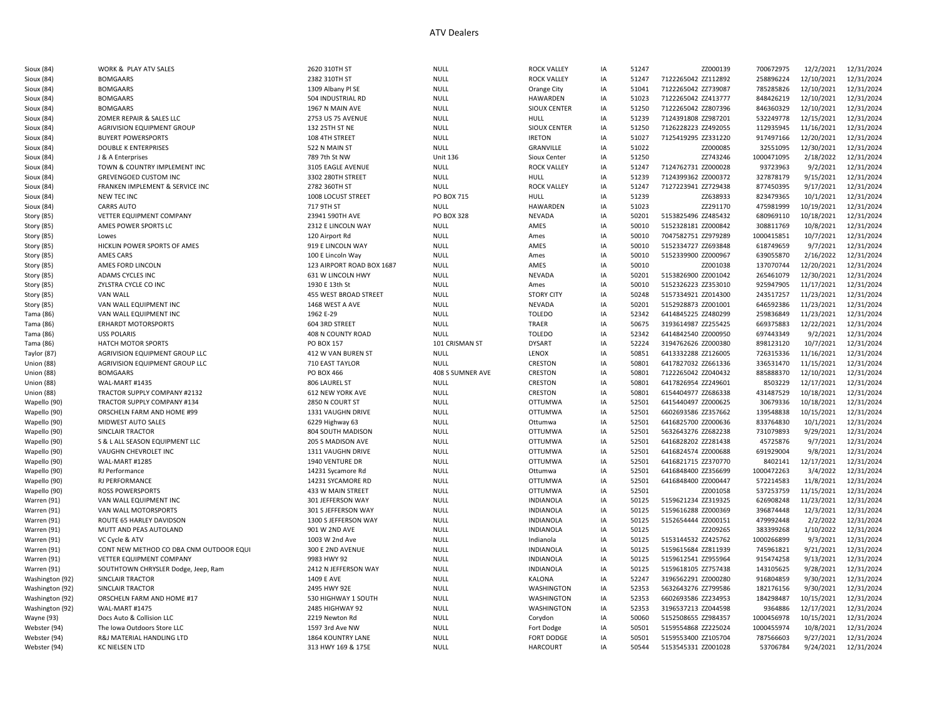| Sioux (84)      | WORK & PLAY ATV SALES                   | 2620 310TH ST                    | <b>NULL</b>       | <b>ROCK VALLEY</b>  | IA | 51247 | ZZ000139            | 700672975  | 12/2/2021  | 12/31/2024 |
|-----------------|-----------------------------------------|----------------------------------|-------------------|---------------------|----|-------|---------------------|------------|------------|------------|
| Sioux (84)      | <b>BOMGAARS</b>                         | 2382 310TH ST                    | <b>NULL</b>       | <b>ROCK VALLEY</b>  | IA | 51247 | 7122265042 ZZ112892 | 258896224  | 12/10/2021 | 12/31/2024 |
| Sioux (84)      | <b>BOMGAARS</b>                         | 1309 Albany Pl SE                | <b>NULL</b>       | Orange City         | IA | 51041 | 7122265042 ZZ739087 | 785285826  | 12/10/2021 | 12/31/2024 |
| Sioux (84)      | <b>BOMGAARS</b>                         | 504 INDUSTRIAL RD                | <b>NULL</b>       | <b>HAWARDEN</b>     | IA | 51023 | 7122265042 ZZ413777 | 848426219  | 12/10/2021 | 12/31/2024 |
| Sioux (84)      | <b>BOMGAARS</b>                         | 1967 N MAIN AVE                  | <b>NULL</b>       | <b>SIOUX CENTER</b> | IA | 51250 | 7122265042 ZZ807396 | 846360329  | 12/10/2021 | 12/31/2024 |
| Sioux (84)      | ZOMER REPAIR & SALES LLC                | 2753 US 75 AVENUE                | <b>NULL</b>       | HULL                | IA | 51239 | 7124391808 ZZ987201 | 532249778  | 12/15/2021 | 12/31/2024 |
| Sioux (84)      | AGRIVISION EQUIPMENT GROUP              | 132 25TH ST NE                   | <b>NULL</b>       | <b>SIOUX CENTER</b> | IA | 51250 | 7126228223 ZZ492055 | 112935945  | 11/16/2021 | 12/31/2024 |
| Sioux (84)      | <b>BUYERT POWERSPORTS</b>               | 108 4TH STREET                   | <b>NULL</b>       | <b>IRETON</b>       | IA | 51027 | 7125419295 ZZ331220 | 917497166  | 12/20/2021 | 12/31/2024 |
| Sioux (84)      | <b>DOUBLE K ENTERPRISES</b>             | 522 N MAIN ST                    | <b>NULL</b>       | GRANVILLE           | IA | 51022 | ZZ000085            | 32551095   | 12/30/2021 | 12/31/2024 |
| Sioux (84)      | J & A Enterprises                       | 789 7th St NW                    | <b>Unit 136</b>   | Sioux Center        | IA | 51250 | ZZ743246            | 1000471095 | 2/18/2022  | 12/31/2024 |
| Sioux (84)      | TOWN & COUNTRY IMPLEMENT INC            | 3105 EAGLE AVENUE                | <b>NULL</b>       | <b>ROCK VALLEY</b>  | IA | 51247 | 7124762731 ZZ000028 | 93723963   | 9/2/2021   | 12/31/2024 |
| Sioux (84)      | <b>GREVENGOED CUSTOM INC</b>            | 3302 280TH STREET                | <b>NULL</b>       | HULL                | IA | 51239 | 7124399362 ZZ000372 | 327878179  | 9/15/2021  | 12/31/2024 |
|                 | FRANKEN IMPLEMENT & SERVICE INC         | 2782 360TH ST                    | <b>NULL</b>       | <b>ROCK VALLEY</b>  |    | 51247 | 7127223941 ZZ729438 | 877450395  | 9/17/2021  | 12/31/2024 |
| Sioux (84)      |                                         |                                  |                   |                     | IA |       |                     | 823479365  |            |            |
| Sioux (84)      | NEW TEC INC                             | 1008 LOCUST STREET<br>717 9TH ST | PO BOX 715        | <b>HULL</b>         | IA | 51239 | ZZ638933            |            | 10/1/2021  | 12/31/2024 |
| Sioux (84)      | <b>CARRS AUTO</b>                       |                                  | <b>NULL</b>       | <b>HAWARDEN</b>     | IA | 51023 | ZZ291170            | 475981999  | 10/19/2021 | 12/31/2024 |
| Story (85)      | VETTER EQUIPMENT COMPANY                | 23941 590TH AVE                  | <b>PO BOX 328</b> | <b>NEVADA</b>       | IA | 50201 | 5153825496 ZZ485432 | 680969110  | 10/18/2021 | 12/31/2024 |
| Story (85)      | AMES POWER SPORTS LC                    | 2312 E LINCOLN WAY               | <b>NULL</b>       | AMES                | IA | 50010 | 5152328181 ZZ000842 | 308811769  | 10/8/2021  | 12/31/2024 |
| Story (85)      | Lowes                                   | 120 Airport Rd                   | <b>NULL</b>       | Ames                | IA | 50010 | 7047582751 ZZ979289 | 1000415851 | 10/7/2021  | 12/31/2024 |
| Story (85)      | HICKLIN POWER SPORTS OF AMES            | 919 E LINCOLN WAY                | <b>NULL</b>       | AMES                | IA | 50010 | 5152334727 ZZ693848 | 618749659  | 9/7/2021   | 12/31/2024 |
| Story (85)      | AMES CARS                               | 100 E Lincoln Way                | <b>NULL</b>       | Ames                | IA | 50010 | 5152339900 ZZ000967 | 639055870  | 2/16/2022  | 12/31/2024 |
| Story (85)      | AMES FORD LINCOLN                       | 123 AIRPORT ROAD BOX 1687        | <b>NULL</b>       | AMES                | IA | 50010 | ZZ001038            | 137070744  | 12/20/2021 | 12/31/2024 |
| Story (85)      | ADAMS CYCLES INC                        | 631 W LINCOLN HWY                | <b>NULL</b>       | NEVADA              | IA | 50201 | 5153826900 ZZ001042 | 265461079  | 12/30/2021 | 12/31/2024 |
| Story (85)      | ZYLSTRA CYCLE CO INC                    | 1930 E 13th St                   | <b>NULL</b>       | Ames                | IA | 50010 | 5152326223 ZZ353010 | 925947905  | 11/17/2021 | 12/31/2024 |
| Story (85)      | VAN WALL                                | 455 WEST BROAD STREET            | <b>NULL</b>       | <b>STORY CITY</b>   | IA | 50248 | 5157334921 ZZ014300 | 243517257  | 11/23/2021 | 12/31/2024 |
| Story (85)      | VAN WALL EQUIPMENT INC                  | 1468 WEST A AVE                  | <b>NULL</b>       | <b>NEVADA</b>       | IA | 50201 | 5152928873 ZZ001001 | 646592386  | 11/23/2021 | 12/31/2024 |
| Tama (86)       | VAN WALL EQUIPMENT INC                  | 1962 E-29                        | <b>NULL</b>       | <b>TOLEDO</b>       | IA | 52342 | 6414845225 ZZ480299 | 259836849  | 11/23/2021 | 12/31/2024 |
| Tama (86)       | <b>ERHARDT MOTORSPORTS</b>              | 604 3RD STREET                   | <b>NULL</b>       | TRAER               | IA | 50675 | 3193614987 ZZ255425 | 669375883  | 12/22/2021 | 12/31/2024 |
| Tama (86)       | <b>USS POLARIS</b>                      | 408 N COUNTY ROAD                | <b>NULL</b>       | <b>TOLEDO</b>       | IA | 52342 | 6414842540 ZZ000950 | 697443349  | 9/2/2021   | 12/31/2024 |
| Tama (86)       | HATCH MOTOR SPORTS                      | <b>PO BOX 157</b>                | 101 CRISMAN ST    | <b>DYSART</b>       | IA | 52224 | 3194762626 ZZ000380 | 898123120  | 10/7/2021  | 12/31/2024 |
| Taylor (87)     | AGRIVISION EQUIPMENT GROUP LLC          | 412 W VAN BUREN ST               | <b>NULL</b>       | LENOX               | IA | 50851 | 6413332288 ZZ126005 | 726315336  | 11/16/2021 | 12/31/2024 |
| Union (88)      | AGRIVISION EQUIPMENT GROUP LLC          | 710 EAST TAYLOR                  | NULL              | CRESTON             | IA | 50801 | 6417827032 ZZ661336 | 336531470  | 11/15/2021 | 12/31/2024 |
| Union (88)      | <b>BOMGAARS</b>                         | PO BOX 466                       | 408 S SUMNER AVE  | CRESTON             | IA | 50801 | 7122265042 ZZ040432 | 885888370  | 12/10/2021 | 12/31/2024 |
| Union (88)      | WAL-MART #1435                          | 806 LAUREL ST                    | <b>NULL</b>       | CRESTON             | IA | 50801 | 6417826954 ZZ249601 | 8503229    | 12/17/2021 | 12/31/2024 |
| Union (88)      | TRACTOR SUPPLY COMPANY #2132            | 612 NEW YORK AVE                 | <b>NULL</b>       | CRESTON             | IA | 50801 | 6154404977 ZZ686338 | 431487529  | 10/18/2021 | 12/31/2024 |
| Wapello (90     | TRACTOR SUPPLY COMPANY #134             | 2850 N COURT ST                  | <b>NULL</b>       | <b>OTTUMWA</b>      | IA | 52501 | 6415440497 ZZ000625 | 30679336   | 10/18/2021 | 12/31/2024 |
| Wapello (90)    | ORSCHELN FARM AND HOME #99              | 1331 VAUGHN DRIVE                | <b>NULL</b>       | OTTUMWA             | IA | 52501 | 6602693586 ZZ357662 | 139548838  | 10/15/2021 | 12/31/2024 |
| Wapello (90)    | MIDWEST AUTO SALES                      | 6229 Highway 63                  | <b>NULL</b>       | Ottumwa             | IA | 52501 | 6416825700 ZZ000636 | 833764830  | 10/1/2021  | 12/31/2024 |
| Wapello (90)    | SINCLAIR TRACTOR                        | 804 SOUTH MADISON                | <b>NULL</b>       | <b>OTTUMWA</b>      | IA | 52501 | 5632643276 ZZ682238 | 731079893  | 9/29/2021  | 12/31/2024 |
| Wapello (90)    | S & L ALL SEASON EQUIPMENT LLC          | 205 S MADISON AVE                | <b>NULL</b>       | <b>OTTUMWA</b>      | IA | 52501 | 6416828202 ZZ281438 | 45725876   | 9/7/2021   | 12/31/2024 |
| Wapello (90)    | VAUGHN CHEVROLET INC                    | 1311 VAUGHN DRIVE                | <b>NULL</b>       | <b>OTTUMWA</b>      | IA | 52501 | 6416824574 ZZ000688 | 691929004  | 9/8/2021   | 12/31/2024 |
| Wapello (90     | WAL-MART #1285                          | 1940 VENTURE DR                  | <b>NULL</b>       | <b>OTTUMWA</b>      | IA | 52501 | 6416821715 ZZ370770 | 8402141    | 12/17/2021 | 12/31/2024 |
| Wapello (90)    | RJ Performance                          | 14231 Sycamore Rd                | <b>NULL</b>       | Ottumwa             | IA | 52501 | 6416848400 ZZ356699 | 1000472263 | 3/4/2022   | 12/31/2024 |
| Wapello (90     | <b>RJ PERFORMANCE</b>                   | 14231 SYCAMORE RD                | <b>NULL</b>       | <b>OTTUMWA</b>      | IA | 52501 | 6416848400 ZZ000447 | 572214583  | 11/8/2021  | 12/31/2024 |
| Wapello (90)    | <b>ROSS POWERSPORTS</b>                 | 433 W MAIN STREET                | <b>NULL</b>       | <b>OTTUMWA</b>      | IA | 52501 | ZZ001058            | 537253759  | 11/15/2021 | 12/31/2024 |
| Warren (91)     | VAN WALL EQUIPMENT INC                  | 301 JEFFERSON WAY                | <b>NULL</b>       | <b>INDIANOLA</b>    | IA | 50125 | 5159621234 ZZ319325 | 626908248  | 11/23/2021 | 12/31/2024 |
|                 | VAN WALL MOTORSPORTS                    | 301 S JEFFERSON WAY              | <b>NULL</b>       | <b>INDIANOLA</b>    | IA | 50125 | 5159616288 ZZ000369 | 396874448  | 12/3/2021  | 12/31/2024 |
| Warren (91)     | ROUTE 65 HARLEY DAVIDSON                | 1300 S JEFFERSON WAY             |                   |                     |    | 50125 | 5152654444 ZZ000151 |            |            |            |
| Warren (91)     |                                         |                                  | <b>NULL</b>       | <b>INDIANOLA</b>    | IA |       |                     | 479992448  | 2/2/2022   | 12/31/2024 |
| Warren (91)     | MUTT AND PEAS AUTOLAND                  | 901 W 2ND AVE                    | <b>NULL</b>       | <b>INDIANOLA</b>    | IA | 50125 | ZZ209265            | 383399268  | 1/10/2022  | 12/31/2024 |
| Warren (91)     | VC Cycle & ATV                          | 1003 W 2nd Ave                   | <b>NULL</b>       | Indianola           | IA | 50125 | 5153144532 ZZ425762 | 1000266899 | 9/3/2021   | 12/31/2024 |
| Warren (91)     | CONT NEW METHOD CO DBA CNM OUTDOOR EQUI | 300 E 2ND AVENUE                 | <b>NULL</b>       | <b>INDIANOLA</b>    | IA | 50125 | 5159615684 ZZ811939 | 745961821  | 9/21/2021  | 12/31/2024 |
| Warren (91)     | VETTER EQUIPMENT COMPANY                | 9983 HWY 92                      | <b>NULL</b>       | <b>INDIANOLA</b>    | IA | 50125 | 5159612541 ZZ955964 | 915474258  | 9/13/2021  | 12/31/2024 |
| Warren (91)     | SOUTHTOWN CHRYSLER Dodge, Jeep, Ram     | 2412 N JEFFERSON WAY             | <b>NULL</b>       | <b>INDIANOLA</b>    | IA | 50125 | 5159618105 ZZ757438 | 143105625  | 9/28/2021  | 12/31/2024 |
| Washington (92) | SINCLAIR TRACTOR                        | 1409 E AVE                       | <b>NULL</b>       | KALONA              | IA | 52247 | 3196562291 ZZ000280 | 916804859  | 9/30/2021  | 12/31/2024 |
| Washington (92) | SINCLAIR TRACTOR                        | 2495 HWY 92E                     | <b>NULL</b>       | WASHINGTON          | IA | 52353 | 5632643276 ZZ799586 | 182176156  | 9/30/2021  | 12/31/2024 |
| Washington (92) | ORSCHELN FARM AND HOME #17              | 530 HIGHWAY 1 SOUTH              | <b>NULL</b>       | WASHINGTON          | IA | 52353 | 6602693586 ZZ234953 | 184298487  | 10/15/2021 | 12/31/2024 |
| Washington (92) | WAL-MART #1475                          | 2485 HIGHWAY 92                  | <b>NULL</b>       | WASHINGTON          | IA | 52353 | 3196537213 ZZ044598 | 9364886    | 12/17/2021 | 12/31/2024 |
| Wayne (93)      | Docs Auto & Collision LLC               | 2219 Newton Rd                   | NULL              | Corydon             | IA | 50060 | 5152508655 ZZ984357 | 1000456978 | 10/15/2021 | 12/31/2024 |
| Webster (94     | The Iowa Outdoors Store LLC             | 1597 3rd Ave NW                  | NULL              | Fort Dodge          | IA | 50501 | 5159554868 ZZ225024 | 1000455974 | 10/8/2021  | 12/31/2024 |
| Webster (94)    | R&J MATERIAL HANDLING LTD               | <b>1864 KOUNTRY LANE</b>         | <b>NULL</b>       | <b>FORT DODGE</b>   | IA | 50501 | 5159553400 ZZ105704 | 787566603  | 9/27/2021  | 12/31/2024 |
| Webster (94)    | KC NIELSEN LTD                          | 313 HWY 169 & 175E               | <b>NULL</b>       | <b>HARCOURT</b>     | IA | 50544 | 5153545331 ZZ001028 | 53706784   | 9/24/2021  | 12/31/2024 |
|                 |                                         |                                  |                   |                     |    |       |                     |            |            |            |